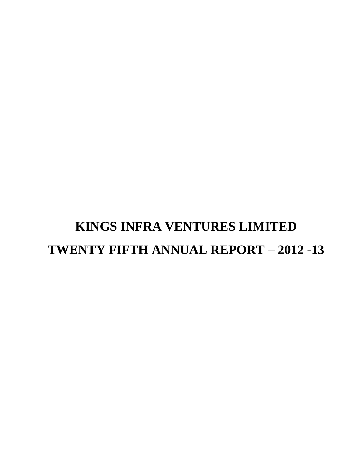# **KINGS INFRA VENTURES LIMITED TWENTY FIFTH ANNUAL REPORT – 2012 -13**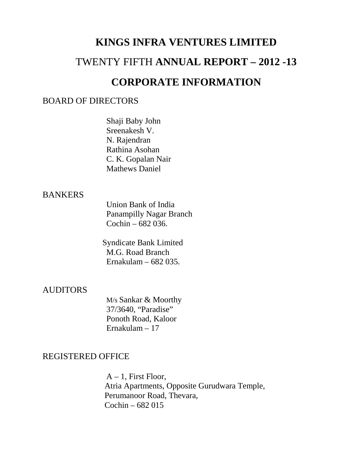# **KINGS INFRA VENTURES LIMITED** TWENTY FIFTH **ANNUAL REPORT – 2012 -13 CORPORATE INFORMATION**

# BOARD OF DIRECTORS

Shaji Baby John Sreenakesh V. N. Rajendran Rathina Asohan C. K. Gopalan Nair Mathews Daniel

# **BANKERS**

Union Bank of India Panampilly Nagar Branch Cochin – 682 036.

 Syndicate Bank Limited M.G. Road Branch Ernakulam – 682 035.

# AUDITORS

M/s Sankar & Moorthy 37/3640, "Paradise" Ponoth Road, Kaloor Ernakulam – 17

# REGISTERED OFFICE

 $A - 1$ , First Floor, Atria Apartments, Opposite Gurudwara Temple, Perumanoor Road, Thevara, Cochin – 682 015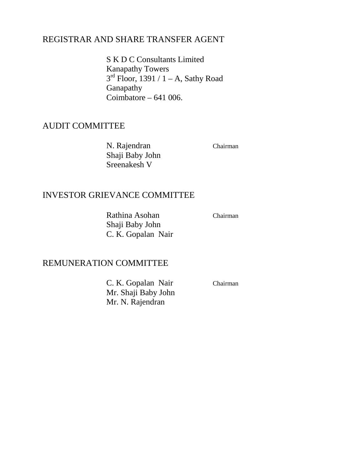# REGISTRAR AND SHARE TRANSFER AGENT

S K D C Consultants Limited Kanapathy Towers  $3<sup>rd</sup>$  Floor, 1391 / 1 – A, Sathy Road Ganapathy Coimbatore – 641 006.

# AUDIT COMMITTEE

N. Rajendran Chairman Shaji Baby John Sreenakesh V

# INVESTOR GRIEVANCE COMMITTEE

Rathina Asohan Chairman Shaji Baby John C. K. Gopalan Nair

# REMUNERATION COMMITTEE

C. K. Gopalan Nair Chairman Mr. Shaji Baby John Mr. N. Rajendran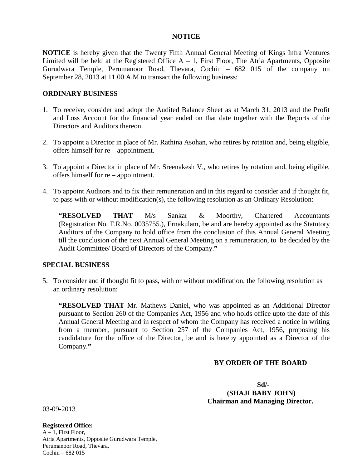## **NOTICE**

**NOTICE** is hereby given that the Twenty Fifth Annual General Meeting of Kings Infra Ventures Limited will be held at the Registered Office  $A - 1$ , First Floor, The Atria Apartments, Opposite Gurudwara Temple, Perumanoor Road, Thevara, Cochin – 682 015 of the company on September 28, 2013 at 11.00 A.M to transact the following business:

## **ORDINARY BUSINESS**

- 1. To receive, consider and adopt the Audited Balance Sheet as at March 31, 2013 and the Profit and Loss Account for the financial year ended on that date together with the Reports of the Directors and Auditors thereon.
- 2. To appoint a Director in place of Mr. Rathina Asohan, who retires by rotation and, being eligible, offers himself for re – appointment.
- 3. To appoint a Director in place of Mr. Sreenakesh V., who retires by rotation and, being eligible, offers himself for re – appointment.
- 4. To appoint Auditors and to fix their remuneration and in this regard to consider and if thought fit, to pass with or without modification(s), the following resolution as an Ordinary Resolution:

**"RESOLVED THAT** M/s Sankar & Moorthy, Chartered Accountants (Registration No. F.R.No. 0035755.), Ernakulam, be and are hereby appointed as the Statutory Auditors of the Company to hold office from the conclusion of this Annual General Meeting till the conclusion of the next Annual General Meeting on a remuneration, to be decided by the Audit Committee/ Board of Directors of the Company.**"**

## **SPECIAL BUSINESS**

5. To consider and if thought fit to pass, with or without modification, the following resolution as an ordinary resolution:

**"RESOLVED THAT** Mr. Mathews Daniel, who was appointed as an Additional Director pursuant to Section 260 of the Companies Act, 1956 and who holds office upto the date of this Annual General Meeting and in respect of whom the Company has received a notice in writing from a member, pursuant to Section 257 of the Companies Act, 1956, proposing his candidature for the office of the Director, be and is hereby appointed as a Director of the Company.**"**

## **BY ORDER OF THE BOARD**

 **Sd/- (SHAJI BABY JOHN) Chairman and Managing Director.**

03-09-2013

### **Registered Office:**

 $A - 1$ , First Floor, Atria Apartments, Opposite Gurudwara Temple, Perumanoor Road, Thevara, Cochin – 682 015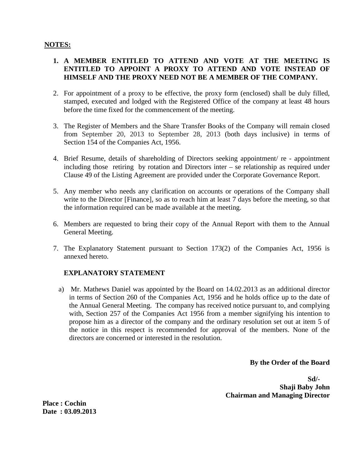## **NOTES:**

## **1. A MEMBER ENTITLED TO ATTEND AND VOTE AT THE MEETING IS ENTITLED TO APPOINT A PROXY TO ATTEND AND VOTE INSTEAD OF HIMSELF AND THE PROXY NEED NOT BE A MEMBER OF THE COMPANY.**

- 2. For appointment of a proxy to be effective, the proxy form (enclosed) shall be duly filled, stamped, executed and lodged with the Registered Office of the company at least 48 hours before the time fixed for the commencement of the meeting.
- 3. The Register of Members and the Share Transfer Books of the Company will remain closed from September 20, 2013 to September 28, 2013 (both days inclusive) in terms of Section 154 of the Companies Act, 1956.
- 4. Brief Resume, details of shareholding of Directors seeking appointment/ re appointment including those retiring by rotation and Directors inter – se relationship as required under Clause 49 of the Listing Agreement are provided under the Corporate Governance Report.
- 5. Any member who needs any clarification on accounts or operations of the Company shall write to the Director [Finance], so as to reach him at least 7 days before the meeting, so that the information required can be made available at the meeting.
- 6. Members are requested to bring their copy of the Annual Report with them to the Annual General Meeting.
- 7. The Explanatory Statement pursuant to Section 173(2) of the Companies Act, 1956 is annexed hereto.

## **EXPLANATORY STATEMENT**

a) Mr. Mathews Daniel was appointed by the Board on 14.02.2013 as an additional director in terms of Section 260 of the Companies Act, 1956 and he holds office up to the date of the Annual General Meeting. The company has received notice pursuant to, and complying with, Section 257 of the Companies Act 1956 from a member signifying his intention to propose him as a director of the company and the ordinary resolution set out at item 5 of the notice in this respect is recommended for approval of the members. None of the directors are concerned or interested in the resolution.

**By the Order of the Board** 

**Sd/- Shaji Baby John Chairman and Managing Director** 

**Place : Cochin Date : 03.09.2013**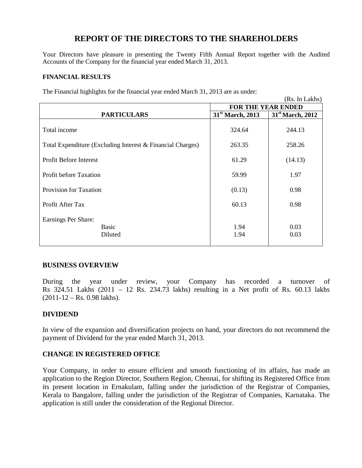# **REPORT OF THE DIRECTORS TO THE SHAREHOLDERS**

Your Directors have pleasure in presenting the Twenty Fifth Annual Report together with the Audited Accounts of the Company for the financial year ended March 31, 2013.

## **FINANCIAL RESULTS**

|                                                            |                              | (Rs. In Lakhs)               |
|------------------------------------------------------------|------------------------------|------------------------------|
|                                                            | <b>FOR THE YEAR ENDED</b>    |                              |
| <b>PARTICULARS</b>                                         | 31 <sup>st</sup> March, 2013 | 31 <sup>st</sup> March, 2012 |
| Total income                                               | 324.64                       | 244.13                       |
| Total Expenditure (Excluding Interest & Financial Charges) | 263.35                       | 258.26                       |
| <b>Profit Before Interest</b>                              | 61.29                        | (14.13)                      |
| <b>Profit before Taxation</b>                              | 59.99                        | 1.97                         |
| Provision for Taxation                                     | (0.13)                       | 0.98                         |
| Profit After Tax                                           | 60.13                        | 0.98                         |
| Earnings Per Share:<br><b>Basic</b><br>Diluted             | 1.94<br>1.94                 | 0.03<br>0.03                 |

The Financial highlights for the financial year ended March 31, 2013 are as under:

### **BUSINESS OVERVIEW**

During the year under review, your Company has recorded a turnover of Rs 324.51 Lakhs (2011 – 12 Rs. 234.73 lakhs) resulting in a Net profit of Rs. 60.13 lakhs  $(2011-12 - \text{Rs. } 0.98 \text{ lakhs}).$ 

## **DIVIDEND**

In view of the expansion and diversification projects on hand, your directors do not recommend the payment of Dividend for the year ended March 31, 2013.

## **CHANGE IN REGISTERED OFFICE**

Your Company, in order to ensure efficient and smooth functioning of its affairs, has made an application to the Region Director, Southern Region, Chennai, for shifting its Registered Office from its present location in Ernakulam, falling under the jurisdiction of the Registrar of Companies, Kerala to Bangalore, falling under the jurisdiction of the Registrar of Companies, Karnataka. The application is still under the consideration of the Regional Director.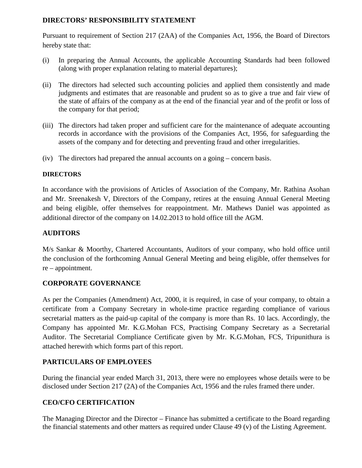## **DIRECTORS' RESPONSIBILITY STATEMENT**

Pursuant to requirement of Section 217 (2AA) of the Companies Act, 1956, the Board of Directors hereby state that:

- (i) In preparing the Annual Accounts, the applicable Accounting Standards had been followed (along with proper explanation relating to material departures);
- (ii) The directors had selected such accounting policies and applied them consistently and made judgments and estimates that are reasonable and prudent so as to give a true and fair view of the state of affairs of the company as at the end of the financial year and of the profit or loss of the company for that period;
- (iii) The directors had taken proper and sufficient care for the maintenance of adequate accounting records in accordance with the provisions of the Companies Act, 1956, for safeguarding the assets of the company and for detecting and preventing fraud and other irregularities.
- (iv) The directors had prepared the annual accounts on a going concern basis.

## **DIRECTORS**

In accordance with the provisions of Articles of Association of the Company, Mr. Rathina Asohan and Mr. Sreenakesh V, Directors of the Company, retires at the ensuing Annual General Meeting and being eligible, offer themselves for reappointment. Mr. Mathews Daniel was appointed as additional director of the company on 14.02.2013 to hold office till the AGM.

## **AUDITORS**

M/s Sankar & Moorthy, Chartered Accountants, Auditors of your company, who hold office until the conclusion of the forthcoming Annual General Meeting and being eligible, offer themselves for re – appointment.

# **CORPORATE GOVERNANCE**

As per the Companies (Amendment) Act, 2000, it is required, in case of your company, to obtain a certificate from a Company Secretary in whole-time practice regarding compliance of various secretarial matters as the paid-up capital of the company is more than Rs. 10 lacs. Accordingly, the Company has appointed Mr. K.G.Mohan FCS, Practising Company Secretary as a Secretarial Auditor. The Secretarial Compliance Certificate given by Mr. K.G.Mohan, FCS, Tripunithura is attached herewith which forms part of this report.

# **PARTICULARS OF EMPLOYEES**

During the financial year ended March 31, 2013, there were no employees whose details were to be disclosed under Section 217 (2A) of the Companies Act, 1956 and the rules framed there under.

# **CEO/CFO CERTIFICATION**

The Managing Director and the Director – Finance has submitted a certificate to the Board regarding the financial statements and other matters as required under Clause 49 (v) of the Listing Agreement.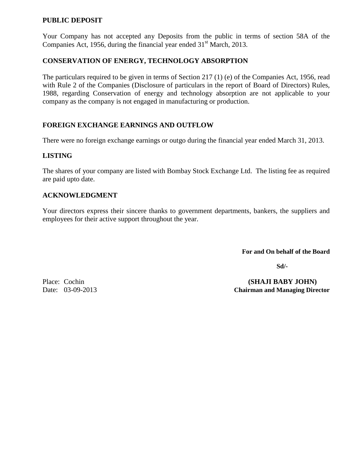## **PUBLIC DEPOSIT**

Your Company has not accepted any Deposits from the public in terms of section 58A of the Companies Act, 1956, during the financial year ended  $31<sup>st</sup>$  March, 2013.

## **CONSERVATION OF ENERGY, TECHNOLOGY ABSORPTION**

The particulars required to be given in terms of Section 217 (1) (e) of the Companies Act, 1956, read with Rule 2 of the Companies (Disclosure of particulars in the report of Board of Directors) Rules, 1988, regarding Conservation of energy and technology absorption are not applicable to your company as the company is not engaged in manufacturing or production.

## **FOREIGN EXCHANGE EARNINGS AND OUTFLOW**

There were no foreign exchange earnings or outgo during the financial year ended March 31, 2013.

## **LISTING**

The shares of your company are listed with Bombay Stock Exchange Ltd. The listing fee as required are paid upto date.

## **ACKNOWLEDGMENT**

Your directors express their sincere thanks to government departments, bankers, the suppliers and employees for their active support throughout the year.

**For and On behalf of the Board**

**Sd/-**

Place: Cochin **(SHAJI BABY JOHN)** Date: 03-09-2013 **Chairman and Managing Director**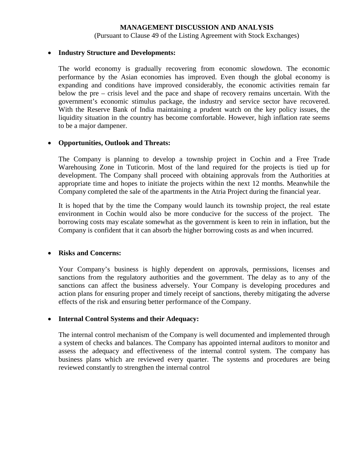## **MANAGEMENT DISCUSSION AND ANALYSIS**

(Pursuant to Clause 49 of the Listing Agreement with Stock Exchanges)

#### • **Industry Structure and Developments:**

The world economy is gradually recovering from economic slowdown. The economic performance by the Asian economies has improved. Even though the global economy is expanding and conditions have improved considerably, the economic activities remain far below the pre – crisis level and the pace and shape of recovery remains uncertain. With the government's economic stimulus package, the industry and service sector have recovered. With the Reserve Bank of India maintaining a prudent watch on the key policy issues, the liquidity situation in the country has become comfortable. However, high inflation rate seems to be a major dampener.

## • **Opportunities, Outlook and Threats:**

The Company is planning to develop a township project in Cochin and a Free Trade Warehousing Zone in Tuticorin. Most of the land required for the projects is tied up for development. The Company shall proceed with obtaining approvals from the Authorities at appropriate time and hopes to initiate the projects within the next 12 months. Meanwhile the Company completed the sale of the apartments in the Atria Project during the financial year.

It is hoped that by the time the Company would launch its township project, the real estate environment in Cochin would also be more conducive for the success of the project. The borrowing costs may escalate somewhat as the government is keen to rein in inflation, but the Company is confident that it can absorb the higher borrowing costs as and when incurred.

### • **Risks and Concerns:**

Your Company's business is highly dependent on approvals, permissions, licenses and sanctions from the regulatory authorities and the government. The delay as to any of the sanctions can affect the business adversely. Your Company is developing procedures and action plans for ensuring proper and timely receipt of sanctions, thereby mitigating the adverse effects of the risk and ensuring better performance of the Company.

## • **Internal Control Systems and their Adequacy:**

The internal control mechanism of the Company is well documented and implemented through a system of checks and balances. The Company has appointed internal auditors to monitor and assess the adequacy and effectiveness of the internal control system. The company has business plans which are reviewed every quarter. The systems and procedures are being reviewed constantly to strengthen the internal control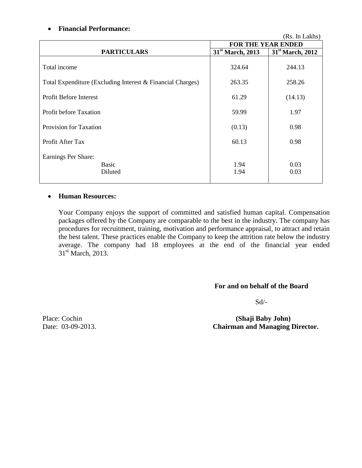## • **Financial Performance:**

|                                                            |                              | (Rs. In Lakhs)               |
|------------------------------------------------------------|------------------------------|------------------------------|
|                                                            | <b>FOR THE YEAR ENDED</b>    |                              |
| <b>PARTICULARS</b>                                         | 31 <sup>st</sup> March, 2013 | 31 <sup>st</sup> March, 2012 |
| Total income                                               | 324.64                       | 244.13                       |
| Total Expenditure (Excluding Interest & Financial Charges) | 263.35                       | 258.26                       |
| <b>Profit Before Interest</b>                              | 61.29                        | (14.13)                      |
| <b>Profit before Taxation</b>                              | 59.99                        | 1.97                         |
| <b>Provision for Taxation</b>                              | (0.13)                       | 0.98                         |
| Profit After Tax                                           | 60.13                        | 0.98                         |
| Earnings Per Share:<br>Basic<br>Diluted                    | 1.94<br>1.94                 | 0.03<br>0.03                 |

## • **Human Resources:**

Your Company enjoys the support of committed and satisfied human capital. Compensation packages offered by the Company are comparable to the best in the industry. The company has procedures for recruitment, training, motivation and performance appraisal, to attract and retain the best talent. These practices enable the Company to keep the attrition rate below the industry average. The company had 18 employees at the end of the financial year ended 31<sup>st</sup> March, 2013.

## **For and on behalf of the Board**

Sd/-

Place: Cochin **(Shaji Baby John)** Date: 03-09-2013. **Chairman and Managing Director.**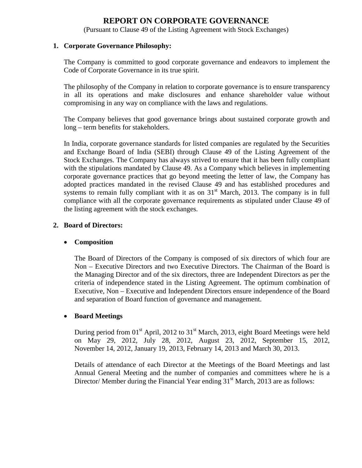# **REPORT ON CORPORATE GOVERNANCE**

(Pursuant to Clause 49 of the Listing Agreement with Stock Exchanges)

## **1. Corporate Governance Philosophy:**

The Company is committed to good corporate governance and endeavors to implement the Code of Corporate Governance in its true spirit.

The philosophy of the Company in relation to corporate governance is to ensure transparency in all its operations and make disclosures and enhance shareholder value without compromising in any way on compliance with the laws and regulations.

The Company believes that good governance brings about sustained corporate growth and long – term benefits for stakeholders.

In India, corporate governance standards for listed companies are regulated by the Securities and Exchange Board of India (SEBI) through Clause 49 of the Listing Agreement of the Stock Exchanges. The Company has always strived to ensure that it has been fully compliant with the stipulations mandated by Clause 49. As a Company which believes in implementing corporate governance practices that go beyond meeting the letter of law, the Company has adopted practices mandated in the revised Clause 49 and has established procedures and systems to remain fully compliant with it as on  $31<sup>st</sup>$  March, 2013. The company is in full compliance with all the corporate governance requirements as stipulated under Clause 49 of the listing agreement with the stock exchanges.

## **2. Board of Directors:**

## • **Composition**

The Board of Directors of the Company is composed of six directors of which four are Non – Executive Directors and two Executive Directors. The Chairman of the Board is the Managing Director and of the six directors, three are Independent Directors as per the criteria of independence stated in the Listing Agreement. The optimum combination of Executive, Non – Executive and Independent Directors ensure independence of the Board and separation of Board function of governance and management.

## • **Board Meetings**

During period from  $01<sup>st</sup>$  April, 2012 to  $31<sup>st</sup>$  March, 2013, eight Board Meetings were held on May 29, 2012, July 28, 2012, August 23, 2012, September 15, 2012, November 14, 2012, January 19, 2013, February 14, 2013 and March 30, 2013.

Details of attendance of each Director at the Meetings of the Board Meetings and last Annual General Meeting and the number of companies and committees where he is a Director/ Member during the Financial Year ending  $31<sup>st</sup>$  March, 2013 are as follows: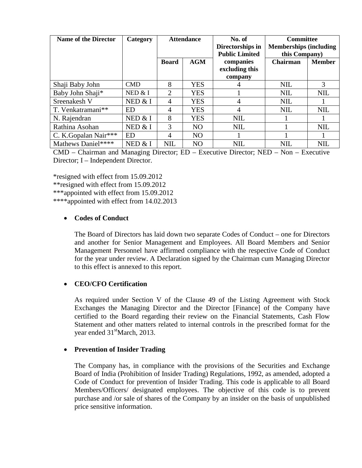| <b>Name of the Director</b> | Category   | <b>Attendance</b> |                | No. of<br>Directorships in<br><b>Public Limited</b> | <b>Committee</b><br><b>Memberships (including</b><br>this Company) |               |
|-----------------------------|------------|-------------------|----------------|-----------------------------------------------------|--------------------------------------------------------------------|---------------|
|                             |            | <b>Board</b>      | <b>AGM</b>     | companies<br>excluding this<br>company              | Chairman                                                           | <b>Member</b> |
| Shaji Baby John             | <b>CMD</b> | 8                 | <b>YES</b>     |                                                     | <b>NIL</b>                                                         | 3             |
| Baby John Shaji*            | NED $& 1$  | $\overline{2}$    | <b>YES</b>     |                                                     | <b>NIL</b>                                                         | <b>NIL</b>    |
| Sreenakesh V                | NED & I    | 4                 | <b>YES</b>     | 4                                                   | <b>NIL</b>                                                         |               |
| T. Venkatramani**           | <b>ED</b>  | 4                 | <b>YES</b>     | 4                                                   | <b>NIL</b>                                                         | <b>NIL</b>    |
| N. Rajendran                | NED $& 1$  | 8                 | <b>YES</b>     | <b>NIL</b>                                          |                                                                    |               |
| Rathina Asohan              | NED $&$ I  | 3                 | N <sub>O</sub> | <b>NIL</b>                                          |                                                                    | <b>NIL</b>    |
| C. K.Gopalan Nair***        | <b>ED</b>  | $\overline{A}$    | N <sub>O</sub> |                                                     |                                                                    |               |
| Mathews Daniel****          | NED & I    | <b>NIL</b>        | N <sub>O</sub> | <b>NIL</b>                                          | <b>NIL</b>                                                         | <b>NIL</b>    |

CMD – Chairman and Managing Director; ED – Executive Director; NED – Non – Executive Director; I – Independent Director.

\*resigned with effect from 15.09.2012 \*\*resigned with effect from 15.09.2012 \*\*\*appointed with effect from 15.09.2012 \*\*\*\*appointed with effect from 14.02.2013

## • **Codes of Conduct**

The Board of Directors has laid down two separate Codes of Conduct – one for Directors and another for Senior Management and Employees. All Board Members and Senior Management Personnel have affirmed compliance with the respective Code of Conduct for the year under review. A Declaration signed by the Chairman cum Managing Director to this effect is annexed to this report.

## • **CEO/CFO Certification**

As required under Section V of the Clause 49 of the Listing Agreement with Stock Exchanges the Managing Director and the Director [Finance] of the Company have certified to the Board regarding their review on the Financial Statements, Cash Flow Statement and other matters related to internal controls in the prescribed format for the year ended  $31<sup>st</sup>March, 2013.$ 

## • **Prevention of Insider Trading**

The Company has, in compliance with the provisions of the Securities and Exchange Board of India (Prohibition of Insider Trading) Regulations, 1992, as amended, adopted a Code of Conduct for prevention of Insider Trading. This code is applicable to all Board Members/Officers/ designated employees. The objective of this code is to prevent purchase and /or sale of shares of the Company by an insider on the basis of unpublished price sensitive information.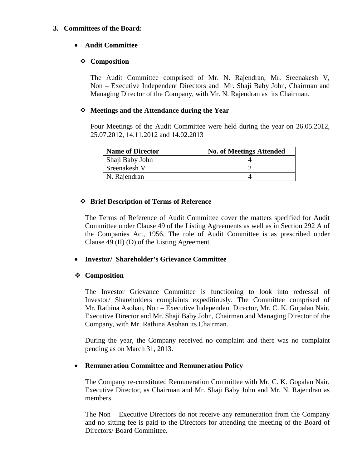## **3. Committees of the Board:**

## • **Audit Committee**

## **Composition**

The Audit Committee comprised of Mr. N. Rajendran, Mr. Sreenakesh V, Non – Executive Independent Directors and Mr. Shaji Baby John, Chairman and Managing Director of the Company, with Mr. N. Rajendran as its Chairman.

## **Meetings and the Attendance during the Year**

Four Meetings of the Audit Committee were held during the year on 26.05.2012, 25.07.2012, 14.11.2012 and 14.02.2013

| <b>Name of Director</b> | <b>No. of Meetings Attended</b> |
|-------------------------|---------------------------------|
| Shaji Baby John         |                                 |
| Sreenakesh V            |                                 |
| N. Rajendran            |                                 |

## **Brief Description of Terms of Reference**

The Terms of Reference of Audit Committee cover the matters specified for Audit Committee under Clause 49 of the Listing Agreements as well as in Section 292 A of the Companies Act, 1956. The role of Audit Committee is as prescribed under Clause 49 (II) (D) of the Listing Agreement.

## • **Investor/ Shareholder's Grievance Committee**

## **Composition**

The Investor Grievance Committee is functioning to look into redressal of Investor/ Shareholders complaints expeditiously. The Committee comprised of Mr. Rathina Asohan, Non – Executive Independent Director, Mr. C. K. Gopalan Nair, Executive Director and Mr. Shaji Baby John, Chairman and Managing Director of the Company, with Mr. Rathina Asohan its Chairman.

During the year, the Company received no complaint and there was no complaint pending as on March 31, 2013.

## • **Remuneration Committee and Remuneration Policy**

The Company re-constituted Remuneration Committee with Mr. C. K. Gopalan Nair, Executive Director, as Chairman and Mr. Shaji Baby John and Mr. N. Rajendran as members.

The Non – Executive Directors do not receive any remuneration from the Company and no sitting fee is paid to the Directors for attending the meeting of the Board of Directors/ Board Committee.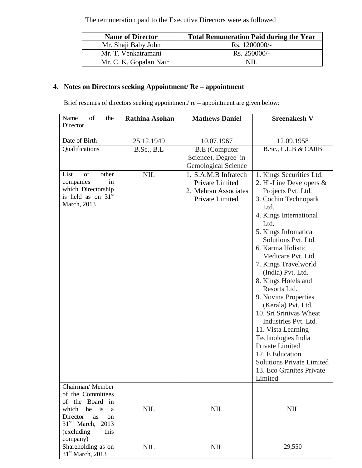The remuneration paid to the Executive Directors were as followed

| <b>Name of Director</b> | <b>Total Remuneration Paid during the Year</b> |
|-------------------------|------------------------------------------------|
| Mr. Shaji Baby John     | Rs. 1200000/-                                  |
| Mr. T. Venkatramani     | $\text{Rs. } 250000/-$                         |
| Mr. C. K. Gopalan Nair  | NII.                                           |

# **4. Notes on Directors seeking Appointment/ Re – appointment**

Brief resumes of directors seeking appointment/ re – appointment are given below:

| of<br>Name<br>the<br>Director                                                                                                                                                | <b>Rathina Asohan</b> | <b>Mathews Daniel</b>                                                              | <b>Sreenakesh V</b>                                                                                                                                                                                                                                                                                                                                                                                                                                                                                                                                                                     |
|------------------------------------------------------------------------------------------------------------------------------------------------------------------------------|-----------------------|------------------------------------------------------------------------------------|-----------------------------------------------------------------------------------------------------------------------------------------------------------------------------------------------------------------------------------------------------------------------------------------------------------------------------------------------------------------------------------------------------------------------------------------------------------------------------------------------------------------------------------------------------------------------------------------|
|                                                                                                                                                                              |                       |                                                                                    |                                                                                                                                                                                                                                                                                                                                                                                                                                                                                                                                                                                         |
| Date of Birth                                                                                                                                                                | 25.12.1949            | 10.07.1967                                                                         | 12.09.1958                                                                                                                                                                                                                                                                                                                                                                                                                                                                                                                                                                              |
| Qualifications                                                                                                                                                               | B.Sc., B.L            | <b>B.E</b> (Computer<br>Science), Degree in<br><b>Gemological Science</b>          | B.Sc., L.L.B & CAIIB                                                                                                                                                                                                                                                                                                                                                                                                                                                                                                                                                                    |
| List<br>of<br>other<br>companies<br>in<br>which Directorship<br>is held as on $31st$<br>March, 2013                                                                          | <b>NIL</b>            | 1. S.A.M.B Infratech<br>Private Limited<br>2. Mehran Associates<br>Private Limited | 1. Kings Securities Ltd.<br>2. Hi-Line Developers $&$<br>Projects Pvt. Ltd.<br>3. Cochin Technopark<br>Ltd.<br>4. Kings International<br>Ltd.<br>5. Kings Infomatica<br>Solutions Pvt. Ltd.<br>6. Karma Holistic<br>Medicare Pvt. Ltd.<br>7. Kings Travelworld<br>(India) Pvt. Ltd.<br>8. Kings Hotels and<br>Resorts Ltd.<br>9. Novina Properties<br>(Kerala) Pvt. Ltd.<br>10. Sri Srinivas Wheat<br>Industries Pvt. Ltd.<br>11. Vista Learning<br>Technologies India<br>Private Limited<br>12. E Education<br><b>Solutions Private Limited</b><br>13. Eco Granites Private<br>Limited |
| Chairman/Member<br>of the Committees<br>of the Board in<br>which<br>he is<br>a<br>Director<br>as<br><sub>on</sub><br>$31st$ March,<br>2013<br>(excluding<br>this<br>company) | <b>NIL</b>            | <b>NIL</b>                                                                         | <b>NIL</b>                                                                                                                                                                                                                                                                                                                                                                                                                                                                                                                                                                              |
| Shareholding as on<br>31 <sup>st</sup> March, 2013                                                                                                                           | <b>NIL</b>            | <b>NIL</b>                                                                         | 29,550                                                                                                                                                                                                                                                                                                                                                                                                                                                                                                                                                                                  |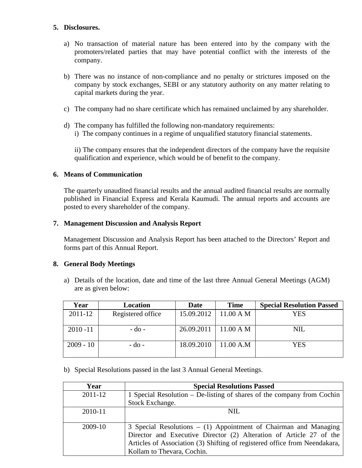## **5. Disclosures.**

- a) No transaction of material nature has been entered into by the company with the promoters/related parties that may have potential conflict with the interests of the company.
- b) There was no instance of non-compliance and no penalty or strictures imposed on the company by stock exchanges, SEBI or any statutory authority on any matter relating to capital markets during the year.
- c) The company had no share certificate which has remained unclaimed by any shareholder.
- d) The company has fulfilled the following non-mandatory requirements: i) The company continues in a regime of unqualified statutory financial statements.

ii) The company ensures that the independent directors of the company have the requisite qualification and experience, which would be of benefit to the company.

## **6. Means of Communication**

The quarterly unaudited financial results and the annual audited financial results are normally published in Financial Express and Kerala Kaumudi. The annual reports and accounts are posted to every shareholder of the company.

## **7. Management Discussion and Analysis Report**

Management Discussion and Analysis Report has been attached to the Directors' Report and forms part of this Annual Report.

## **8. General Body Meetings**

a) Details of the location, date and time of the last three Annual General Meetings (AGM) are as given below:

| Year        | Location          | Date       | <b>Time</b>         | <b>Special Resolution Passed</b> |
|-------------|-------------------|------------|---------------------|----------------------------------|
| 2011-12     | Registered office | 15.09.2012 | $11.00 \text{ A M}$ | YES                              |
| $2010 - 11$ | $-do$ -           | 26.09.2011 | $11.00 \text{ A M}$ | NIL                              |
| $2009 - 10$ | $-d0$ -           | 18.09.2010 | 11.00 A.M           | <b>YES</b>                       |

b) Special Resolutions passed in the last 3 Annual General Meetings.

| Year        | <b>Special Resolutions Passed</b>                                          |
|-------------|----------------------------------------------------------------------------|
| $2011 - 12$ | 1 Special Resolution – De-listing of shares of the company from Cochin     |
|             | Stock Exchange.                                                            |
| 2010-11     | NIL.                                                                       |
|             |                                                                            |
| 2009-10     | 3 Special Resolutions - (1) Appointment of Chairman and Managing           |
|             | Director and Executive Director (2) Alteration of Article 27 of the        |
|             | Articles of Association (3) Shifting of registered office from Neendakara, |
|             | Kollam to Thevara, Cochin.                                                 |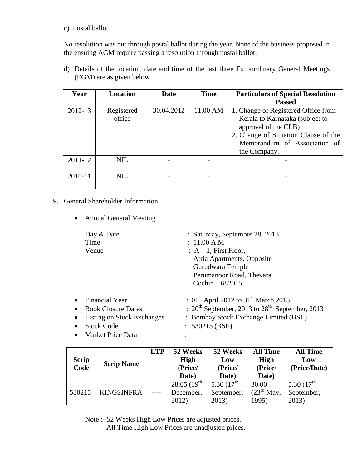## c) Postal ballot

No resolution was put through postal ballot during the year. None of the business proposed in the ensuing AGM require passing a resolution through postal ballot.

d) Details of the location, date and time of the last three Extraordinary General Meetings (EGM) are as given below

| Year    | <b>Location</b>      | <b>Date</b> | <b>Time</b> | <b>Particulars of Special Resolution</b>                                                                                                                               |
|---------|----------------------|-------------|-------------|------------------------------------------------------------------------------------------------------------------------------------------------------------------------|
|         |                      |             |             | <b>Passed</b>                                                                                                                                                          |
| 2012-13 | Registered<br>office | 30.04.2012  | 11.00 AM    | 1. Change of Registered Office from<br>Kerala to Karnataka (subject to<br>approval of the CLB)<br>2. Change of Situation Clause of the<br>Memorandum of Association of |
|         |                      |             |             | the Company.                                                                                                                                                           |
| 2011-12 | NIL.                 |             |             |                                                                                                                                                                        |
| 2010-11 | NIL.                 |             |             |                                                                                                                                                                        |

# 9. General Shareholder Information

• Annual General Meeting

| Day & Date<br>Time<br>Venue                                                                                                                  | : Saturday, September 28, 2013.<br>: 11.00 A.M<br>$: A-1$ , First Floor,<br>Atria Apartments, Opposite<br>Gurudwara Temple<br>Perumanoor Road, Thevara<br>Cochin $-682015$ .                 |
|----------------------------------------------------------------------------------------------------------------------------------------------|----------------------------------------------------------------------------------------------------------------------------------------------------------------------------------------------|
| <b>Financial Year</b><br>$\bullet$<br><b>Book Closure Dates</b><br>$\bullet$<br>Listing on Stock Exchanges<br><b>Stock Code</b><br>$\bullet$ | : $01^{st}$ April 2012 to 31 <sup>st</sup> March 2013<br>: $20^{\text{th}}$ September, 2013 to $28^{\text{th}}$ September, 2013<br>: Bombay Stock Exchange Limited (BSE)<br>$: 530215$ (BSE) |
| <b>Market Price Data</b><br>$\bullet$                                                                                                        |                                                                                                                                                                                              |

| <b>Scrip</b><br>Code | <b>Scrip Name</b> | <b>LTP</b> | 52 Weeks<br><b>High</b><br>(Price/<br>Date)    | 52 Weeks<br>Low<br>(Price/<br>Date)    | <b>All Time</b><br><b>High</b><br>(Price/<br>Date) | <b>All Time</b><br>Low<br>(Price/Date)         |
|----------------------|-------------------|------------|------------------------------------------------|----------------------------------------|----------------------------------------------------|------------------------------------------------|
| 530215               | <b>KINGSINFRA</b> |            | 28.05 $(19^{\text{th}})$<br>December,<br>2012) | 5.30 $(17^{th}$<br>September,<br>2013) | 30.00<br>$(23^{\text{rd}}$ May,<br>1995)           | 5.30 $(17^{\text{th}})$<br>September,<br>2013) |

Note :- 52 Weeks High Low Prices are adjusted prices.

All Time High Low Prices are unadjusted prices.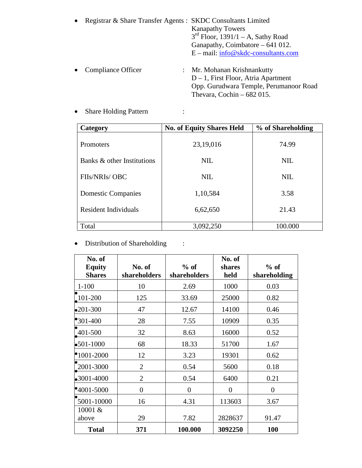| • Registrar & Share Transfer Agents : SKDC Consultants Limited |                                       |
|----------------------------------------------------------------|---------------------------------------|
|                                                                | <b>Kanapathy Towers</b>               |
|                                                                | $3rd$ Floor, 1391/1 – A, Sathy Road   |
|                                                                | Ganapathy, Coimbatore $-641$ 012.     |
|                                                                | $E - mail: info@skdc-consultants.com$ |
|                                                                |                                       |
| $\bullet$ Compliance Officer                                   | $\cdot$ Mr Mohanan Krishnankutty      |

• Compliance Officer : Mr. Mohanan Krishnankutty D – 1, First Floor, Atria Apartment Opp. Gurudwara Temple, Perumanoor Road Thevara, Cochin – 682 015.

| Category                    | <b>No. of Equity Shares Held</b> | % of Shareholding |
|-----------------------------|----------------------------------|-------------------|
| Promoters                   | 23,19,016                        | 74.99             |
| Banks & other Institutions  | NIL                              | <b>NIL</b>        |
| FIIs/NRIs/OBC               | NIL                              | <b>NIL</b>        |
| <b>Domestic Companies</b>   | 1,10,584                         | 3.58              |
| <b>Resident Individuals</b> | 6,62,650                         | 21.43             |
| Total                       | 3,092,250                        | 100.000           |

• Share Holding Pattern :

• Distribution of Shareholding :

| No. of<br><b>Equity</b><br><b>Shares</b> | No. of<br>shareholders | $%$ of<br>shareholders | No. of<br>shares<br>held | $%$ of<br>shareholding |
|------------------------------------------|------------------------|------------------------|--------------------------|------------------------|
| $1 - 100$                                | 10                     | 2.69                   | 1000                     | 0.03                   |
| 101-200                                  | 125                    | 33.69                  | 25000                    | 0.82                   |
| $•201 - 300$                             | 47                     | 12.67                  | 14100                    | 0.46                   |
| $^{\bullet}301-400$                      | 28                     | 7.55                   | 10909                    | 0.35                   |
| 401-500                                  | 32                     | 8.63                   | 16000                    | 0.52                   |
| $•501-1000$                              | 68                     | 18.33                  | 51700                    | 1.67                   |
| $^{\bullet}1001 - 2000$                  | 12                     | 3.23                   | 19301                    | 0.62                   |
| 2001-3000                                | $\overline{2}$         | 0.54                   | 5600                     | 0.18                   |
| $\bullet$ 3001-4000                      | $\overline{2}$         | 0.54                   | 6400                     | 0.21                   |
| $•4001 - 5000$                           | $\overline{0}$         | $\overline{0}$         | $\Omega$                 | $\overline{0}$         |
| 5001-10000                               | 16                     | 4.31                   | 113603                   | 3.67                   |
| 10001 &<br>above                         | 29                     | 7.82                   | 2828637                  | 91.47                  |
| <b>Total</b>                             | 371                    | 100.000                | 3092250                  | 100                    |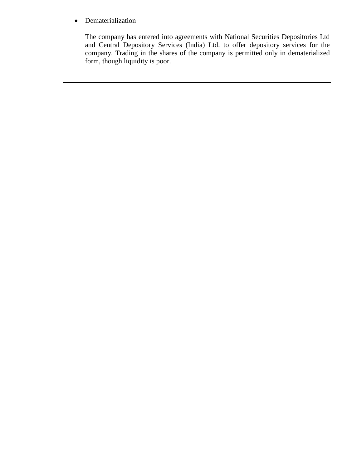• Dematerialization

The company has entered into agreements with National Securities Depositories Ltd and Central Depository Services (India) Ltd. to offer depository services for the company. Trading in the shares of the company is permitted only in dematerialized form, though liquidity is poor.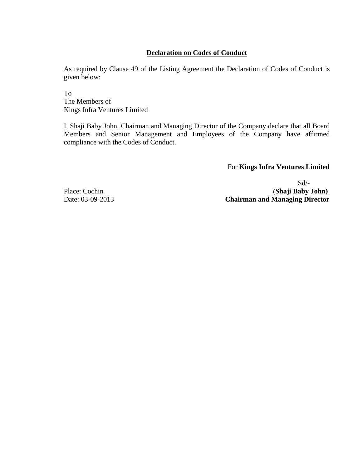## **Declaration on Codes of Conduct**

As required by Clause 49 of the Listing Agreement the Declaration of Codes of Conduct is given below:

To The Members of Kings Infra Ventures Limited

I, Shaji Baby John, Chairman and Managing Director of the Company declare that all Board Members and Senior Management and Employees of the Company have affirmed compliance with the Codes of Conduct.

For **Kings Infra Ventures Limited**

Sd/- Place: Cochin (**Shaji Baby John**)<br>Date: 03-09-2013 **Chairman and Managing Director Chairman and Managing Director**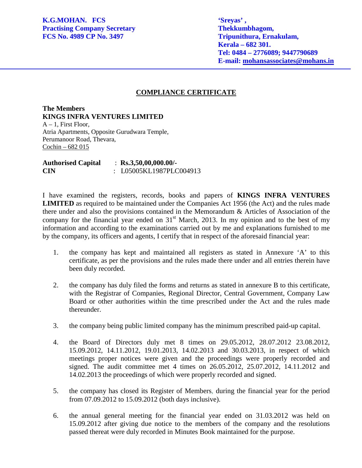j

 **Kerala – 682 301. Tel: 0484 – 2776089; 9447790689 E-mail: mohansassociates@mohans.in**

## **COMPLIANCE CERTIFICATE**

**The Members KINGS INFRA VENTURES LIMITED**  $A - 1$ , First Floor, Atria Apartments, Opposite Gurudwara Temple, Perumanoor Road, Thevara, Cochin – 682 015

**Authorised Capital** : **Rs.3,50,00,000.00/- CIN** : L05005KL1987PLC004913

I have examined the registers, records, books and papers of **KINGS INFRA VENTURES LIMITED** as required to be maintained under the Companies Act 1956 (the Act) and the rules made there under and also the provisions contained in the Memorandum & Articles of Association of the company for the financial year ended on  $31<sup>st</sup>$  March, 2013. In my opinion and to the best of my information and according to the examinations carried out by me and explanations furnished to me by the company, its officers and agents, I certify that in respect of the aforesaid financial year:

- 1. the company has kept and maintained all registers as stated in Annexure 'A' to this certificate, as per the provisions and the rules made there under and all entries therein have been duly recorded.
- 2. the company has duly filed the forms and returns as stated in annexure B to this certificate, with the Registrar of Companies, Regional Director, Central Government, Company Law Board or other authorities within the time prescribed under the Act and the rules made thereunder.
- 3. the company being public limited company has the minimum prescribed paid-up capital.
- 4. the Board of Directors duly met 8 times on 29.05.2012, 28.07.2012 23.08.2012, 15.09.2012, 14.11.2012, 19.01.2013, 14.02.2013 and 30.03.2013, in respect of which meetings proper notices were given and the proceedings were properly recorded and signed. The audit committee met 4 times on 26.05.2012, 25.07.2012, 14.11.2012 and 14.02.2013 the proceedings of which were properly recorded and signed.
- 5. the company has closed its Register of Members, during the financial year for the period from 07.09.2012 to 15.09.2012 (both days inclusive).
- 6. the annual general meeting for the financial year ended on 31.03.2012 was held on 15.09.2012 after giving due notice to the members of the company and the resolutions passed thereat were duly recorded in Minutes Book maintained for the purpose.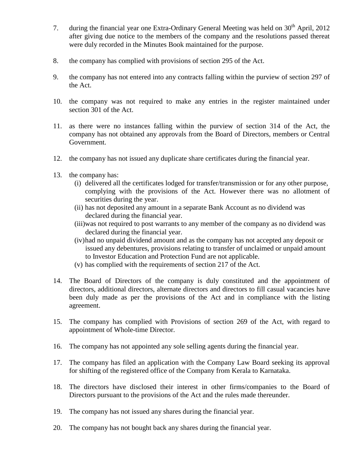- 7. during the financial year one Extra-Ordinary General Meeting was held on  $30<sup>th</sup>$  April, 2012 after giving due notice to the members of the company and the resolutions passed thereat were duly recorded in the Minutes Book maintained for the purpose.
- 8. the company has complied with provisions of section 295 of the Act.
- 9. the company has not entered into any contracts falling within the purview of section 297 of the Act.
- 10. the company was not required to make any entries in the register maintained under section 301 of the Act.
- 11. as there were no instances falling within the purview of section 314 of the Act, the company has not obtained any approvals from the Board of Directors, members or Central Government.
- 12. the company has not issued any duplicate share certificates during the financial year.
- 13. the company has:
	- (i) delivered all the certificates lodged for transfer/transmission or for any other purpose, complying with the provisions of the Act. However there was no allotment of securities during the year.
	- (ii) has not deposited any amount in a separate Bank Account as no dividend was declared during the financial year.
	- (iii)was not required to post warrants to any member of the company as no dividend was declared during the financial year.
	- (iv)had no unpaid dividend amount and as the company has not accepted any deposit or issued any debentures, provisions relating to transfer of unclaimed or unpaid amount to Investor Education and Protection Fund are not applicable.
	- (v) has complied with the requirements of section 217 of the Act.
- 14. The Board of Directors of the company is duly constituted and the appointment of directors, additional directors, alternate directors and directors to fill casual vacancies have been duly made as per the provisions of the Act and in compliance with the listing agreement.
- 15. The company has complied with Provisions of section 269 of the Act, with regard to appointment of Whole-time Director.
- 16. The company has not appointed any sole selling agents during the financial year.
- 17. The company has filed an application with the Company Law Board seeking its approval for shifting of the registered office of the Company from Kerala to Karnataka.
- 18. The directors have disclosed their interest in other firms/companies to the Board of Directors pursuant to the provisions of the Act and the rules made thereunder.
- 19. The company has not issued any shares during the financial year.
- 20. The company has not bought back any shares during the financial year.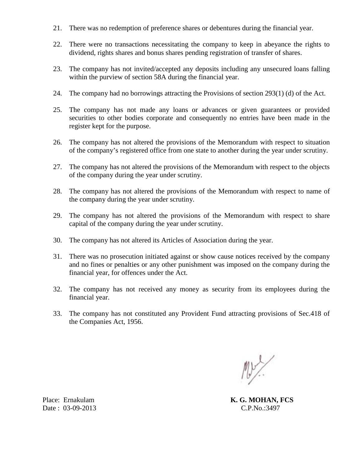- 21. There was no redemption of preference shares or debentures during the financial year.
- 22. There were no transactions necessitating the company to keep in abeyance the rights to dividend, rights shares and bonus shares pending registration of transfer of shares.
- 23. The company has not invited/accepted any deposits including any unsecured loans falling within the purview of section 58A during the financial year.
- 24. The company had no borrowings attracting the Provisions of section 293(1) (d) of the Act.
- 25. The company has not made any loans or advances or given guarantees or provided securities to other bodies corporate and consequently no entries have been made in the register kept for the purpose.
- 26. The company has not altered the provisions of the Memorandum with respect to situation of the company's registered office from one state to another during the year under scrutiny.
- 27. The company has not altered the provisions of the Memorandum with respect to the objects of the company during the year under scrutiny.
- 28. The company has not altered the provisions of the Memorandum with respect to name of the company during the year under scrutiny.
- 29. The company has not altered the provisions of the Memorandum with respect to share capital of the company during the year under scrutiny.
- 30. The company has not altered its Articles of Association during the year.
- 31. There was no prosecution initiated against or show cause notices received by the company and no fines or penalties or any other punishment was imposed on the company during the financial year, for offences under the Act.
- 32. The company has not received any money as security from its employees during the financial year.
- 33. The company has not constituted any Provident Fund attracting provisions of Sec.418 of the Companies Act, 1956.

MY/

Place: Ernakulam **K. G. MOHAN, FCS** 

Date : 03-09-2013 C.P.No.:3497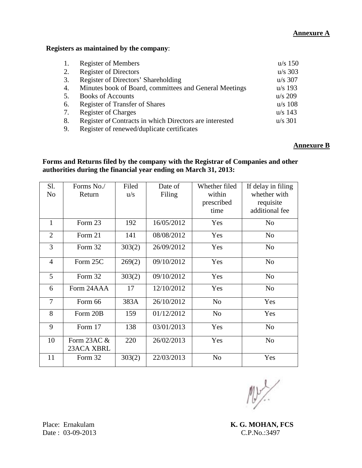## **Annexure A**

## **Registers as maintained by the company**:

|    | <b>Register of Members</b>                              | $u/s$ 150 |
|----|---------------------------------------------------------|-----------|
| 2. | <b>Register of Directors</b>                            | $u/s$ 303 |
| 3. | Register of Directors' Shareholding                     | $u/s$ 307 |
| 4. | Minutes book of Board, committees and General Meetings  | $u/s$ 193 |
| 5. | <b>Books of Accounts</b>                                | $u/s$ 209 |
| 6. | <b>Register of Transfer of Shares</b>                   | $u/s$ 108 |
| 7. | <b>Register of Charges</b>                              | $u/s$ 143 |
| 8. | Register of Contracts in which Directors are interested | $u/s$ 301 |
| 9. | Register of renewed/duplicate certificates              |           |

## **Annexure B**

## **Forms and Returns filed by the company with the Registrar of Companies and other authorities during the financial year ending on March 31, 2013:**

| Sl.            | Forms No./                   | Filed  | Date of    | Whether filed  | If delay in filing |
|----------------|------------------------------|--------|------------|----------------|--------------------|
| N <sub>0</sub> | Return                       | u/s    | Filing     | within         | whether with       |
|                |                              |        |            | prescribed     | requisite          |
|                |                              |        |            | time           | additional fee     |
| $\mathbf{1}$   | Form 23                      | 192    | 16/05/2012 | Yes            | N <sub>o</sub>     |
| $\overline{2}$ | Form 21                      | 141    | 08/08/2012 | Yes            | N <sub>o</sub>     |
| 3              | Form 32                      | 303(2) | 26/09/2012 | Yes            | N <sub>o</sub>     |
| $\overline{4}$ | Form 25C                     | 269(2) | 09/10/2012 | Yes            | N <sub>o</sub>     |
| 5              | Form 32                      | 303(2) | 09/10/2012 | Yes            | N <sub>o</sub>     |
| 6              | Form 24AAA                   | 17     | 12/10/2012 | Yes            | N <sub>o</sub>     |
| $\overline{7}$ | Form 66                      | 383A   | 26/10/2012 | N <sub>o</sub> | Yes                |
| 8              | Form 20B                     | 159    | 01/12/2012 | N <sub>o</sub> | Yes                |
| 9              | Form 17                      | 138    | 03/01/2013 | Yes            | N <sub>o</sub>     |
| 10             | Form $23AC \&$<br>23ACA XBRL | 220    | 26/02/2013 | Yes            | N <sub>o</sub>     |
| 11             | Form 32                      | 303(2) | 22/03/2013 | N <sub>0</sub> | Yes                |

 $\mathbb{N}$ 

Place: Ernakulam **K. G. MOHAN, FCS**<br>Date: 03-09-2013 **C.P.No.:3497** 

Date:  $03-09-2013$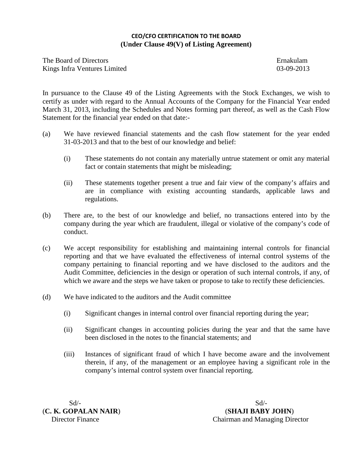## **CEO/CFO CERTIFICATION TO THE BOARD (Under Clause 49(V) of Listing Agreement)**

The Board of Directors<br>
Kings Infra Ventures Limited<br>
03-09-2013 Kings Infra Ventures Limited

In pursuance to the Clause 49 of the Listing Agreements with the Stock Exchanges, we wish to certify as under with regard to the Annual Accounts of the Company for the Financial Year ended March 31, 2013, including the Schedules and Notes forming part thereof, as well as the Cash Flow Statement for the financial year ended on that date:-

- (a) We have reviewed financial statements and the cash flow statement for the year ended 31-03-2013 and that to the best of our knowledge and belief:
	- (i) These statements do not contain any materially untrue statement or omit any material fact or contain statements that might be misleading;
	- (ii) These statements together present a true and fair view of the company's affairs and are in compliance with existing accounting standards, applicable laws and regulations.
- (b) There are, to the best of our knowledge and belief, no transactions entered into by the company during the year which are fraudulent, illegal or violative of the company's code of conduct.
- (c) We accept responsibility for establishing and maintaining internal controls for financial reporting and that we have evaluated the effectiveness of internal control systems of the company pertaining to financial reporting and we have disclosed to the auditors and the Audit Committee, deficiencies in the design or operation of such internal controls, if any, of which we aware and the steps we have taken or propose to take to rectify these deficiencies.
- (d) We have indicated to the auditors and the Audit committee
	- (i) Significant changes in internal control over financial reporting during the year;
	- (ii) Significant changes in accounting policies during the year and that the same have been disclosed in the notes to the financial statements; and
	- (iii) Instances of significant fraud of which I have become aware and the involvement therein, if any, of the management or an employee having a significant role in the company's internal control system over financial reporting.

 $Sd$ - $Sd$ -

(**C. K. GOPALAN NAIR**) (**SHAJI BABY JOHN**) Director Finance Chairman and Managing Director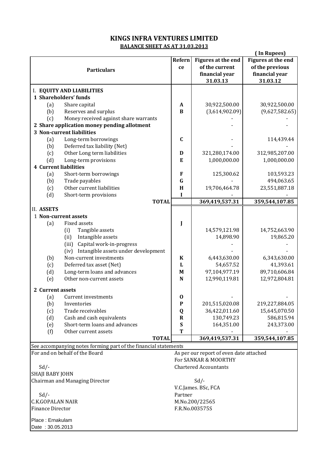## **BALANCE SHEET AS AT 31.03.2013 KINGS INFRA VENTURES LIMITED**

|                                  |                                                                 |               |                                         | (In Rupees)               |
|----------------------------------|-----------------------------------------------------------------|---------------|-----------------------------------------|---------------------------|
|                                  |                                                                 | <b>Refern</b> | <b>Figures at the end</b>               | <b>Figures at the end</b> |
|                                  |                                                                 | ce            | of the current                          | of the previous           |
|                                  | <b>Particulars</b>                                              |               | financial year                          | financial year            |
|                                  |                                                                 |               | 31.03.13                                | 31.03.12                  |
|                                  |                                                                 |               |                                         |                           |
| I. EQUITY AND LIABILITIES        |                                                                 |               |                                         |                           |
| 1 Shareholders' funds            |                                                                 |               |                                         |                           |
| (a)                              | Share capital                                                   | $\mathbf{A}$  | 30,922,500.00                           | 30,922,500.00             |
| (b)                              | Reserves and surplus                                            | B             | (3,614,902.09)                          | (9,627,582.65)            |
| (c)                              | Money received against share warrants                           |               |                                         |                           |
|                                  | 2 Share application money pending allotment                     |               |                                         |                           |
| <b>3 Non-current liabilities</b> |                                                                 |               |                                         |                           |
| (a)                              | Long-term borrowings                                            | $\mathbf C$   |                                         | 114,439.44                |
| (b)                              | Deferred tax liability (Net)                                    |               |                                         |                           |
| (c)                              | Other Long term liabilities                                     | D             | 321,280,174.00                          | 312,985,207.00            |
| (d)                              | Long-term provisions                                            | E             | 1,000,000.00                            | 1,000,000.00              |
| <b>4 Current liabilities</b>     |                                                                 |               |                                         |                           |
| (a)                              | Short-term borrowings                                           | F             | 125,300.62                              | 103,593.23                |
| (b)                              | Trade payables                                                  | $\mathbf G$   |                                         | 494,063.65                |
|                                  | Other current liabilities                                       | H             | 19,706,464.78                           | 23,551,887.18             |
| (c)                              |                                                                 |               |                                         |                           |
| (d)                              | Short-term provisions<br><b>TOTAL</b>                           | I             | 369,419,537.31                          | 359,544,107.85            |
|                                  |                                                                 |               |                                         |                           |
| II. ASSETS                       |                                                                 |               |                                         |                           |
| 1 Non-current assets             |                                                                 |               |                                         |                           |
| (a)                              | Fixed assets                                                    | J             |                                         |                           |
| (i)                              | Tangible assets                                                 |               | 14,579,121.98                           | 14,752,663.90             |
| (ii)                             | Intangible assets                                               |               | 14,898.90                               | 19,865.20                 |
|                                  | (iii) Capital work-in-progress                                  |               |                                         |                           |
|                                  | (iv) Intangible assets under development                        |               |                                         |                           |
| (b)                              | Non-current investments                                         | K             | 6,443,630.00                            | 6,343,630.00              |
| (c)                              | Deferred tax asset (Net)                                        | L             | 54,657.52                               | 41,393.61                 |
| (d)                              | Long-term loans and advances                                    | $\mathbf M$   | 97,104,977.19                           | 89,710,606.84             |
| (e)                              | Other non-current assets                                        | N             | 12,990,119.81                           | 12,972,804.81             |
|                                  |                                                                 |               |                                         |                           |
| 2 Current assets                 |                                                                 |               |                                         |                           |
| (a)                              | Current investments                                             | $\bf{0}$      |                                         |                           |
| (b)<br>Inventories               |                                                                 | $\mathbf P$   | 201,515,020.08                          | 219,227,884.05            |
| (c)                              | Trade receivables                                               | Q             | 36,422,011.60                           | 15,645,070.50             |
| (d)                              | Cash and cash equivalents                                       | $\mathbf R$   | 130,749.23                              | 586,815.94                |
| (e)                              | Short-term loans and advances                                   | ${\bf S}$     | 164,351.00                              | 243,373.00                |
| (f)                              | Other current assets                                            | T             |                                         |                           |
|                                  | <b>TOTAL</b>                                                    |               | 369,419,537.31                          | 359,544,107.85            |
|                                  | See accompanying notes forming part of the financial statements |               |                                         |                           |
| For and on behalf of the Board   |                                                                 |               | As per our report of even date attached |                           |
|                                  |                                                                 |               | For SANKAR & MOORTHY                    |                           |
| $Sd$ /-                          |                                                                 |               | <b>Chartered Accountants</b>            |                           |
| SHAJI BABY JOHN                  |                                                                 |               |                                         |                           |
| Chairman and Managing Director   |                                                                 |               | $Sd$ /-                                 |                           |
|                                  |                                                                 |               | V.C.James. BSc, FCA                     |                           |
| $Sd$ /-                          |                                                                 | Partner       |                                         |                           |
| <b>C.K.GOPALAN NAIR</b>          |                                                                 |               | M.No.200/22565                          |                           |
| <b>Finance Director</b>          |                                                                 |               | F.R.No.003575S                          |                           |
|                                  |                                                                 |               |                                         |                           |
| Place: Ernakulam                 |                                                                 |               |                                         |                           |
| Date: 30.05.2013                 |                                                                 |               |                                         |                           |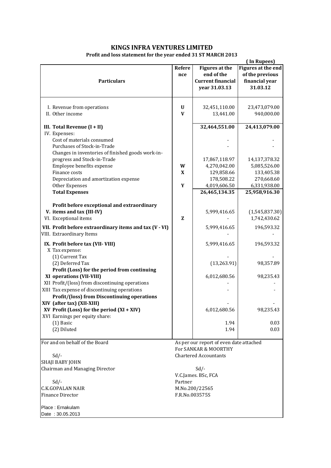## **KINGS INFRA VENTURES LIMITED**

## **Profit and loss statement for the year ended 31 ST MARCH 2013**

| 011 and 1033 Statement for the year ended 31 31 MANGH 2013                           |                      |                                                                                  | (In Rupees)                                                         |
|--------------------------------------------------------------------------------------|----------------------|----------------------------------------------------------------------------------|---------------------------------------------------------------------|
| <b>Particulars</b>                                                                   | <b>Refere</b><br>nce | <b>Figures at the</b><br>end of the<br><b>Current financial</b><br>year 31.03.13 | Figures at the end<br>of the previous<br>financial year<br>31.03.12 |
| I. Revenue from operations                                                           | $\mathbf U$          | 32,451,110.00                                                                    | 23,473,079.00                                                       |
| II. Other income                                                                     | $\mathbf{V}$         | 13,441.00                                                                        | 940,000.00                                                          |
| III. Total Revenue (I + II)                                                          |                      | 32,464,551.00                                                                    | 24,413,079.00                                                       |
| IV. Expenses:                                                                        |                      |                                                                                  |                                                                     |
| Cost of materials consumed                                                           |                      |                                                                                  |                                                                     |
| Purchases of Stock-in-Trade<br>Changes in inventories of finished goods work-in-     |                      |                                                                                  |                                                                     |
| progress and Stock-in-Trade                                                          |                      | 17,867,118.97                                                                    | 14,137,378.32                                                       |
| Employee benefits expense                                                            | W                    | 4,270,042.00                                                                     | 5,085,526.00                                                        |
| Finance costs                                                                        | X                    | 129,858.66                                                                       | 133,405.38                                                          |
| Depreciation and amortization expense                                                |                      | 178,508.22                                                                       | 270,668.60                                                          |
| Other Expenses                                                                       | Y                    | 4,019,606.50                                                                     | 6,331,938.00                                                        |
| <b>Total Expenses</b>                                                                |                      | 26,465,134.35                                                                    | 25,958,916.30                                                       |
|                                                                                      |                      |                                                                                  |                                                                     |
| Profit before exceptional and extraordinary<br>V. items and tax (III-IV)             |                      | 5,999,416.65                                                                     | (1,545,837.30)                                                      |
| VI. Exceptional items                                                                | z                    |                                                                                  | 1,742,430.62                                                        |
| VII. Profit before extraordinary items and tax (V - VI)<br>VIII. Extraordinary Items |                      | 5,999,416.65                                                                     | 196,593.32                                                          |
|                                                                                      |                      |                                                                                  |                                                                     |
| IX. Profit before tax (VII-VIII)                                                     |                      | 5,999,416.65                                                                     | 196,593.32                                                          |
| X Tax expense:<br>(1) Current Tax                                                    |                      |                                                                                  |                                                                     |
| (2) Deferred Tax                                                                     |                      | (13, 263.91)                                                                     | 98,357.89                                                           |
| Profit (Loss) for the period from continuing                                         |                      |                                                                                  |                                                                     |
| XI operations (VII-VIII)                                                             |                      | 6,012,680.56                                                                     | 98,235.43                                                           |
| XII Profit/(loss) from discontinuing operations                                      |                      |                                                                                  |                                                                     |
| XIII Tax expense of discontinuing operations                                         |                      |                                                                                  |                                                                     |
| <b>Profit/(loss) from Discontinuing operations</b>                                   |                      |                                                                                  |                                                                     |
| XIV (after tax) (XII-XIII)                                                           |                      |                                                                                  |                                                                     |
| $XY$ Profit (Loss) for the period $(XI + XIV)$<br>XVI Earnings per equity share:     |                      | 6,012,680.56                                                                     | 98,235.43                                                           |
| $(1)$ Basic                                                                          |                      | 1.94                                                                             | 0.03                                                                |
| (2) Diluted                                                                          |                      | 1.94                                                                             | 0.03                                                                |
|                                                                                      |                      |                                                                                  |                                                                     |
| For and on behalf of the Board                                                       |                      | As per our report of even date attached                                          |                                                                     |
|                                                                                      |                      | For SANKAR & MOORTHY                                                             |                                                                     |
| $Sd$ /-                                                                              |                      | <b>Chartered Accountants</b>                                                     |                                                                     |
| SHAJI BABY JOHN<br>Chairman and Managing Director                                    |                      |                                                                                  |                                                                     |
|                                                                                      |                      | $Sd$ /-<br>V.C.James. BSc, FCA                                                   |                                                                     |
| $Sd$ /-                                                                              | Partner              |                                                                                  |                                                                     |
| C.K.GOPALAN NAIR                                                                     |                      | M.No.200/22565                                                                   |                                                                     |
| <b>Finance Director</b>                                                              |                      | F.R.No.003575S                                                                   |                                                                     |
|                                                                                      |                      |                                                                                  |                                                                     |
| Place: Ernakulam<br>Date: 30.05.2013                                                 |                      |                                                                                  |                                                                     |
|                                                                                      |                      |                                                                                  |                                                                     |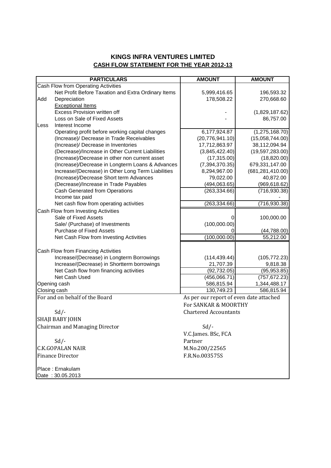## **KINGS INFRA VENTURES LIMITED CASH FLOW STATEMENT FOR THE YEAR 2012-13**

| <b>PARTICULARS</b>                                  | <b>AMOUNT</b>                           | <b>AMOUNT</b>      |
|-----------------------------------------------------|-----------------------------------------|--------------------|
| Cash Flow from Operating Activities                 |                                         |                    |
| Net Profit Before Taxation and Extra Ordinary Items | 5,999,416.65                            | 196,593.32         |
| Add<br>Depreciation                                 | 178,508.22                              | 270,668.60         |
| <b>Exceptional Items</b>                            |                                         |                    |
| Excess Provision written off                        |                                         | (1,829,187.62)     |
| Loss on Sale of Fixed Assets                        |                                         | 86,757.00          |
| Interest Income<br>Less                             |                                         |                    |
| Operating profit before working capital changes     | 6,177,924.87                            | (1,275,168.70)     |
| (Increase)/ Decrease in Trade Receivables           | (20, 776, 941.10)                       | (15,058,744.00)    |
| (Increase)/ Decrease in Inventories                 | 17,712,863.97                           | 38,112,094.94      |
| (Decrease)/Increase in Other Current Liabilities    | (3,845,422.40)                          | (19,597,283.00)    |
| (Increase)/Decrease in other non current asset      | (17, 315.00)                            | (18,820.00)        |
| (Increase)/Decrease in Longterm Loans & Advances    | (7, 394, 370.35)                        | 679,331,147.00     |
| Increase/(Decrease) in Other Long Term Liabilities  | 8,294,967.00                            | (681, 281, 410.00) |
| (Increase)/Decrease Short term Advances             | 79,022.00                               | 40,872.00          |
| (Decrease)/Increase in Trade Payables               | (494,063.65)                            | (969, 618.62)      |
| <b>Cash Generated from Operations</b>               | (263, 334.66)                           | (716, 930.38)      |
| Income tax paid                                     |                                         |                    |
| Net cash flow from operating activities             | (263, 334.66)                           | (716, 930.38)      |
| Cash Flow from Investing Activities                 |                                         |                    |
| Sale of Fixed Assets                                | 0                                       | 100,000.00         |
| Sale/ (Purchase) of Investments                     | (100,000.00)                            |                    |
| <b>Purchase of Fixed Assets</b>                     |                                         | (44, 788.00)       |
| Net Cash Flow from Investing Activities             | (100,000.00)                            | 55,212.00          |
|                                                     |                                         |                    |
| Cash Flow from Financing Activities                 |                                         |                    |
| Increase/(Decrease) in Longterm Borrowings          | (114, 439.44)                           | (105, 772.23)      |
| Increase/(Decrease) in Shortterm borrowings         | 21,707.39                               | 9,818.38           |
| Net Cash flow from financing activities             | (92, 732.05)                            | (95, 953.85)       |
| Net Cash Used                                       | (456,066.71)                            | (757, 672.23)      |
| Opening cash                                        | 586,815.94                              | 1,344,488.17       |
| Closing cash                                        | 130,749.23                              | 586,815.94         |
| For and on behalf of the Board                      | As per our report of even date attached |                    |
|                                                     | For SANKAR & MOORTHY                    |                    |
| $Sd$ /-                                             | <b>Chartered Accountants</b>            |                    |
| SHAJI BABY JOHN                                     |                                         |                    |
| <b>Chairman and Managing Director</b>               | $Sd$ /-                                 |                    |
|                                                     | V.C.James. BSc, FCA                     |                    |
| $Sd$ /-                                             | Partner                                 |                    |
| <b>C.K.GOPALAN NAIR</b>                             | M.No.200/22565                          |                    |
| <b>Finance Director</b>                             | F.R.No.003575S                          |                    |
|                                                     |                                         |                    |
| Place: Ernakulam                                    |                                         |                    |
| Date: 30.05.2013                                    |                                         |                    |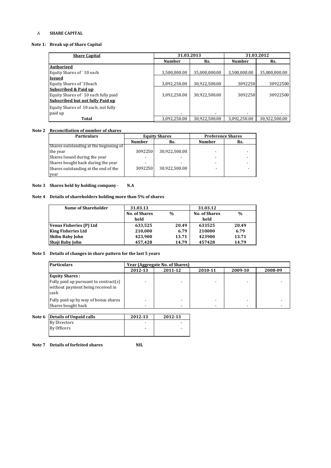#### A **SHARE CAPITAL**

#### **Note 1: Break up of Share Capital**

| <b>Share Capital</b>                 | 31.03.2013    |               | 31.03.2012    |               |
|--------------------------------------|---------------|---------------|---------------|---------------|
|                                      | <b>Number</b> | Rs.           | <b>Number</b> | Rs.           |
| Authorised                           |               |               |               |               |
| Equity Shares of 10 each             | 3,500,000.00  | 35,000,000.00 | 3,500,000.00  | 35,000,000.00 |
| <b>Issued</b>                        |               |               |               |               |
| Equity Shares of `10each             | 3,092,250.00  | 30,922,500.00 | 3092250       | 30922500      |
| <b>Subscribed &amp; Paid up</b>      |               |               |               |               |
| Equity Shares of `10 each fully paid | 3,092,250.00  | 30,922,500.00 | 3092250       | 30922500      |
| Subscribed but not fully Paid up     |               |               |               |               |
| Equity Shares of 10 each, not fully  |               |               |               |               |
| paid up                              |               |               |               |               |
| Total                                | 3,092,250.00  | 30,922,500.00 | 3,092,250.00  | 30,922,500.00 |

#### **Note 2 Reconciliation of number of shares**

| <b>Particulars</b>                     | <b>Equity Shares</b> |               | <b>Preference Shares</b> |     |
|----------------------------------------|----------------------|---------------|--------------------------|-----|
|                                        | <b>Number</b>        | Rs.           | <b>Number</b>            | Rs. |
| Shares outstanding at the beginning of |                      |               |                          |     |
| the year                               | 3092250              | 30,922,500.00 |                          |     |
| Shares Issued during the year          |                      |               |                          |     |
| Shares bought back during the year     |                      |               |                          |     |
| Shares outstanding at the end of the   | 3092250              | 30,922,500.00 |                          |     |
| year                                   |                      |               |                          |     |

#### **Note 3 Shares held by holding company - N.A**

#### **Note 4 Details of shareholders holding more than 5% of shares**

| <b>Name of Shareholder</b> | 31.03.13             |               | 31.03.12             |       |
|----------------------------|----------------------|---------------|----------------------|-------|
|                            | <b>No. of Shares</b> | $\frac{0}{0}$ | <b>No. of Shares</b> | %     |
|                            | held                 |               | held                 |       |
| Venus Fisheries (P) Ltd    | 633,525              | 20.49         | 633525               | 20.49 |
| <b>King Fisheries Ltd</b>  | 210,000              | 6.79          | 210000               | 6.79  |
| Shibu Baby John            | 423,900              | 13.71         | 423900               | 13.71 |
| Shaji Baby John            | 457,428              | 14.79         | 457428               | 14.79 |

#### **Note 5 Details of changes in share pattern for the last 5 years**

| <b>Particulars</b>                                                                 | Year (Aggregate No. of Shares) |                                          |  |  |  |  |  |
|------------------------------------------------------------------------------------|--------------------------------|------------------------------------------|--|--|--|--|--|
|                                                                                    | 2012-13                        | 2010-11<br>2011-12<br>2009-10<br>2008-09 |  |  |  |  |  |
| <b>Equity Shares:</b>                                                              |                                |                                          |  |  |  |  |  |
| Fully paid up pursuant to contract(s)<br>without payment being received in<br>cash |                                |                                          |  |  |  |  |  |
| Fully paid up by way of bonus shares<br>Shares bought back                         |                                |                                          |  |  |  |  |  |

| Note 6 | Details of Unpaid calls | 2012-13 | 2012-13 |
|--------|-------------------------|---------|---------|
|        | <b>By Directors</b>     | -       |         |
|        | By Officers             | -       |         |
|        |                         |         |         |

#### **Note 7 Details of forfeited shares NIL**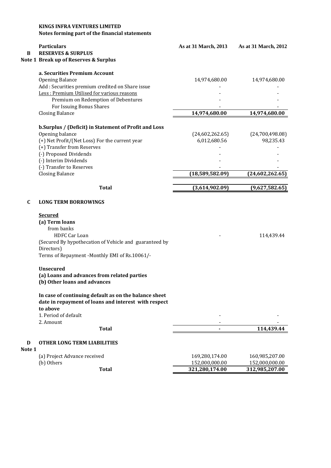|        | <b>KINGS INFRA VENTURES LIMITED</b><br>Notes forming part of the financial statements                         |                                  |                                  |
|--------|---------------------------------------------------------------------------------------------------------------|----------------------------------|----------------------------------|
| B      | <b>Particulars</b><br><b>RESERVES &amp; SURPLUS</b>                                                           | As at 31 March, 2013             | As at 31 March, 2012             |
|        | Note 1 Break up of Reserves & Surplus                                                                         |                                  |                                  |
|        | a. Securities Premium Account<br>Opening Balance                                                              | 14,974,680.00                    | 14,974,680.00                    |
|        | Add : Securities premium credited on Share issue                                                              |                                  |                                  |
|        | Less: Premium Utilised for various reasons                                                                    |                                  |                                  |
|        | Premium on Redemption of Debentures                                                                           |                                  |                                  |
|        | For Issuing Bonus Shares                                                                                      |                                  |                                  |
|        | <b>Closing Balance</b>                                                                                        | 14,974,680.00                    | 14,974,680.00                    |
|        | b. Surplus / (Deficit) in Statement of Profit and Loss                                                        |                                  |                                  |
|        | Opening balance                                                                                               | (24,602,262.65)                  | (24,700,498.08)                  |
|        | (+) Net Profit/(Net Loss) For the current year<br>(+) Transfer from Reserves                                  | 6,012,680.56                     | 98,235.43                        |
|        | (-) Proposed Dividends                                                                                        |                                  |                                  |
|        | (-) Interim Dividends                                                                                         |                                  |                                  |
|        | (-) Transfer to Reserves                                                                                      |                                  |                                  |
|        | <b>Closing Balance</b>                                                                                        | (18,589,582.09)                  | (24,602,262.65)                  |
|        | <b>Total</b>                                                                                                  | (3,614,902.09)                   | (9,627,582.65)                   |
| C      | <b>LONG TERM BORROWINGS</b>                                                                                   |                                  |                                  |
|        | <b>Secured</b>                                                                                                |                                  |                                  |
|        | (a) Term loans<br>from banks                                                                                  |                                  |                                  |
|        | <b>HDFC Car Loan</b>                                                                                          |                                  | 114,439.44                       |
|        | (Secured By hypothecation of Vehicle and guaranteed by                                                        |                                  |                                  |
|        | Directors)                                                                                                    |                                  |                                  |
|        | Terms of Repayment -Monthly EMI of Rs.10061/-                                                                 |                                  |                                  |
|        | <b>Unsecured</b>                                                                                              |                                  |                                  |
|        | (a) Loans and advances from related parties                                                                   |                                  |                                  |
|        | (b) Other loans and advances                                                                                  |                                  |                                  |
|        | In case of continuing default as on the balance sheet<br>date in repayment of loans and interest with respect |                                  |                                  |
|        | to above                                                                                                      |                                  |                                  |
|        | 1. Period of default                                                                                          |                                  |                                  |
|        | 2. Amount                                                                                                     |                                  |                                  |
|        | <b>Total</b>                                                                                                  |                                  | 114,439.44                       |
| D      | <b>OTHER LONG TERM LIABILITIES</b>                                                                            |                                  |                                  |
| Note 1 |                                                                                                               |                                  |                                  |
|        | (a) Project Advance received<br>(b) Others                                                                    | 169,280,174.00<br>152,000,000.00 | 160,985,207.00<br>152,000,000.00 |
|        | <b>Total</b>                                                                                                  | 321,280,174.00                   | 312,985,207.00                   |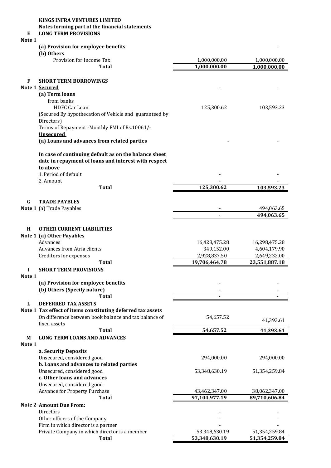#### **KINGS INFRA VENTURES LIMITED**

**Notes forming part of the financial statements**

#### **E LONG TERM PROVISIONS**

## **Note 1**

#### **(a) Provision for employee benefits** -

|  | (b) Others |  |
|--|------------|--|
|--|------------|--|

|                | (b) Others                                                                                                    |               |               |
|----------------|---------------------------------------------------------------------------------------------------------------|---------------|---------------|
|                | Provision for Income Tax                                                                                      | 1,000,000.00  | 1,000,000.00  |
|                | <b>Total</b>                                                                                                  | 1,000,000.00  | 1,000,000.00  |
|                |                                                                                                               |               |               |
| F              | <b>SHORT TERM BORROWINGS</b>                                                                                  |               |               |
| Note 1 Secured | (a) Term loans                                                                                                |               |               |
|                | from banks                                                                                                    |               |               |
|                | <b>HDFC Car Loan</b>                                                                                          | 125,300.62    | 103,593.23    |
|                | (Secured By hypothecation of Vehicle and guaranteed by                                                        |               |               |
|                | Directors)                                                                                                    |               |               |
|                | Terms of Repayment -Monthly EMI of Rs.10061/-                                                                 |               |               |
|                | <b>Unsecured</b>                                                                                              |               |               |
|                | (a) Loans and advances from related parties                                                                   |               |               |
|                |                                                                                                               |               |               |
|                | In case of continuing default as on the balance sheet<br>date in repayment of loans and interest with respect |               |               |
|                | to above                                                                                                      |               |               |
|                | 1. Period of default                                                                                          |               |               |
|                | 2. Amount<br><b>Total</b>                                                                                     | 125,300.62    |               |
|                |                                                                                                               |               | 103,593.23    |
| $\mathbf G$    | <b>TRADE PAYBLES</b>                                                                                          |               |               |
|                | Note 1 (a) Trade Payables                                                                                     |               | 494,063.65    |
|                |                                                                                                               |               | 494,063.65    |
|                |                                                                                                               |               |               |
| H              | <b>OTHER CURRENT LIABILITIES</b>                                                                              |               |               |
|                | Note 1 (a) Other Payables                                                                                     |               |               |
|                | Advances                                                                                                      | 16,428,475.28 | 16,298,475.28 |
|                | Advances from Atria clients                                                                                   | 349,152.00    | 4,604,179.90  |
|                | Creditors for expenses                                                                                        | 2,928,837.50  | 2,649,232.00  |
|                | Total                                                                                                         | 19,706,464.78 | 23,551,887.18 |
| I              | <b>SHORT TERM PROVISIONS</b>                                                                                  |               |               |
| Note 1         |                                                                                                               |               |               |
|                | (a) Provision for employee benefits                                                                           |               |               |
|                | (b) Others (Specify nature)                                                                                   |               |               |
|                | <b>Total</b>                                                                                                  |               |               |
| L              | <b>DEFERRED TAX ASSETS</b>                                                                                    |               |               |
|                | Note 1 Tax effect of items constituting deferred tax assets                                                   |               |               |
|                | On difference between book balance and tax balance of                                                         | 54,657.52     | 41,393.61     |
|                | fixed assets                                                                                                  |               |               |
|                | <b>Total</b>                                                                                                  | 54,657.52     | 41,393.61     |
| M              | <b>LONG TERM LOANS AND ADVANCES</b>                                                                           |               |               |
| Note 1         |                                                                                                               |               |               |
|                | a. Security Deposits                                                                                          |               |               |
|                | Unsecured, considered good                                                                                    | 294,000.00    | 294,000.00    |
|                | b. Loans and advances to related parties                                                                      |               |               |
|                | Unsecured, considered good                                                                                    | 53,348,630.19 | 51,354,259.84 |
|                | c. Other loans and advances<br>Unsecured, considered good                                                     |               |               |
|                | Advance for Property Purchase                                                                                 | 43,462,347.00 | 38,062,347.00 |
|                | <b>Total</b>                                                                                                  | 97,104,977.19 | 89,710,606.84 |
|                | <b>Note 2 Amount Due From:</b>                                                                                |               |               |
|                | <b>Directors</b>                                                                                              |               |               |
|                | Other officers of the Company                                                                                 |               |               |
|                | Firm in which director is a partner                                                                           |               |               |
|                | Private Company in which director is a member                                                                 | 53,348,630.19 | 51,354,259.84 |
|                | <b>Total</b>                                                                                                  | 53,348,630.19 | 51,354,259.84 |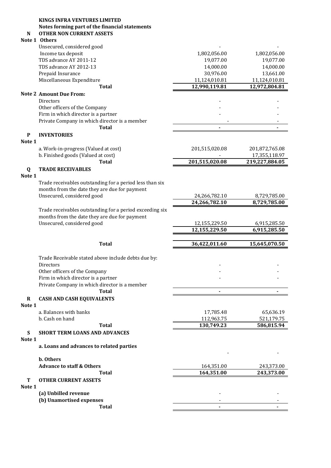### **KINGS INFRA VENTURES LIMITED Notes forming part of the financial statements**

## **N OTHER NON CURRENT ASSETS**

## **Note 1 Others**

| Income tax deposit<br>1,802,056.00<br>1,802,056.00<br>TDS advance AY 2011-12<br>19,077.00<br>19,077.00<br>TDS advance AY 2012-13<br>14,000.00<br>14,000.00<br>Prepaid Insurance<br>30,976.00<br>13,661.00<br>Miscellaneous Expenditure<br>11,124,010.81<br>11,124,010.81<br>12,990,119.81<br>12,972,804.81<br><b>Total</b><br><b>Note 2 Amount Due From:</b><br><b>Directors</b><br>Other officers of the Company<br>Firm in which director is a partner<br>Private Company in which director is a member<br><b>Total</b><br><b>INVENTORIES</b><br>P<br>Note 1<br>a. Work-in-progress (Valued at cost)<br>201,515,020.08<br>201,872,765.08<br>b. Finished goods (Valued at cost)<br>17,355,118.97<br>201,515,020.08<br>219,227,884.05<br><b>Total</b><br>Q<br><b>TRADE RECEIVABLES</b><br>Note 1<br>Trade receivables outstanding for a period less than six<br>months from the date they are due for payment<br>Unsecured, considered good<br>8,729,785.00<br>24,266,782.10<br>24,266,782.10<br>8,729,785.00<br>Trade receivables outstanding for a period exceeding six<br>months from the date they are due for payment<br>Unsecured, considered good<br>12,155,229.50<br>6,915,285.50<br>12,155,229.50<br>6,915,285.50<br><b>Total</b><br>36,422,011.60<br>15,645,070.50<br>Trade Receivable stated above include debts due by:<br>Directors<br>Other officers of the Company<br>Firm in which director is a partner<br>Private Company in which director is a member<br>Total<br>R<br><b>CASH AND CASH EQUIVALENTS</b><br>Note 1<br>a. Balances with banks<br>17,785.48<br>65,636.19<br>b. Cash on hand<br>112,963.75<br>521,179.75<br>130,749.23<br><b>Total</b><br>586,815.94<br><b>SHORT TERM LOANS AND ADVANCES</b><br>S<br>Note 1<br>a. Loans and advances to related parties<br>b. Others<br><b>Advance to staff &amp; Others</b><br>164,351.00<br>243,373.00<br>164,351.00<br>243,373.00<br><b>Total</b><br>Т<br><b>OTHER CURRENT ASSETS</b><br>Note 1<br>(a) Unbilled revenue<br>(b) Unamortised expenses<br><b>Total</b> | Unsecured, considered good |  |
|----------------------------------------------------------------------------------------------------------------------------------------------------------------------------------------------------------------------------------------------------------------------------------------------------------------------------------------------------------------------------------------------------------------------------------------------------------------------------------------------------------------------------------------------------------------------------------------------------------------------------------------------------------------------------------------------------------------------------------------------------------------------------------------------------------------------------------------------------------------------------------------------------------------------------------------------------------------------------------------------------------------------------------------------------------------------------------------------------------------------------------------------------------------------------------------------------------------------------------------------------------------------------------------------------------------------------------------------------------------------------------------------------------------------------------------------------------------------------------------------------------------------------------------------------------------------------------------------------------------------------------------------------------------------------------------------------------------------------------------------------------------------------------------------------------------------------------------------------------------------------------------------------------------------------------------------------------------------------------------------------------------------------------------|----------------------------|--|
|                                                                                                                                                                                                                                                                                                                                                                                                                                                                                                                                                                                                                                                                                                                                                                                                                                                                                                                                                                                                                                                                                                                                                                                                                                                                                                                                                                                                                                                                                                                                                                                                                                                                                                                                                                                                                                                                                                                                                                                                                                        |                            |  |
|                                                                                                                                                                                                                                                                                                                                                                                                                                                                                                                                                                                                                                                                                                                                                                                                                                                                                                                                                                                                                                                                                                                                                                                                                                                                                                                                                                                                                                                                                                                                                                                                                                                                                                                                                                                                                                                                                                                                                                                                                                        |                            |  |
|                                                                                                                                                                                                                                                                                                                                                                                                                                                                                                                                                                                                                                                                                                                                                                                                                                                                                                                                                                                                                                                                                                                                                                                                                                                                                                                                                                                                                                                                                                                                                                                                                                                                                                                                                                                                                                                                                                                                                                                                                                        |                            |  |
|                                                                                                                                                                                                                                                                                                                                                                                                                                                                                                                                                                                                                                                                                                                                                                                                                                                                                                                                                                                                                                                                                                                                                                                                                                                                                                                                                                                                                                                                                                                                                                                                                                                                                                                                                                                                                                                                                                                                                                                                                                        |                            |  |
|                                                                                                                                                                                                                                                                                                                                                                                                                                                                                                                                                                                                                                                                                                                                                                                                                                                                                                                                                                                                                                                                                                                                                                                                                                                                                                                                                                                                                                                                                                                                                                                                                                                                                                                                                                                                                                                                                                                                                                                                                                        |                            |  |
|                                                                                                                                                                                                                                                                                                                                                                                                                                                                                                                                                                                                                                                                                                                                                                                                                                                                                                                                                                                                                                                                                                                                                                                                                                                                                                                                                                                                                                                                                                                                                                                                                                                                                                                                                                                                                                                                                                                                                                                                                                        |                            |  |
|                                                                                                                                                                                                                                                                                                                                                                                                                                                                                                                                                                                                                                                                                                                                                                                                                                                                                                                                                                                                                                                                                                                                                                                                                                                                                                                                                                                                                                                                                                                                                                                                                                                                                                                                                                                                                                                                                                                                                                                                                                        |                            |  |
|                                                                                                                                                                                                                                                                                                                                                                                                                                                                                                                                                                                                                                                                                                                                                                                                                                                                                                                                                                                                                                                                                                                                                                                                                                                                                                                                                                                                                                                                                                                                                                                                                                                                                                                                                                                                                                                                                                                                                                                                                                        |                            |  |
|                                                                                                                                                                                                                                                                                                                                                                                                                                                                                                                                                                                                                                                                                                                                                                                                                                                                                                                                                                                                                                                                                                                                                                                                                                                                                                                                                                                                                                                                                                                                                                                                                                                                                                                                                                                                                                                                                                                                                                                                                                        |                            |  |
|                                                                                                                                                                                                                                                                                                                                                                                                                                                                                                                                                                                                                                                                                                                                                                                                                                                                                                                                                                                                                                                                                                                                                                                                                                                                                                                                                                                                                                                                                                                                                                                                                                                                                                                                                                                                                                                                                                                                                                                                                                        |                            |  |
|                                                                                                                                                                                                                                                                                                                                                                                                                                                                                                                                                                                                                                                                                                                                                                                                                                                                                                                                                                                                                                                                                                                                                                                                                                                                                                                                                                                                                                                                                                                                                                                                                                                                                                                                                                                                                                                                                                                                                                                                                                        |                            |  |
|                                                                                                                                                                                                                                                                                                                                                                                                                                                                                                                                                                                                                                                                                                                                                                                                                                                                                                                                                                                                                                                                                                                                                                                                                                                                                                                                                                                                                                                                                                                                                                                                                                                                                                                                                                                                                                                                                                                                                                                                                                        |                            |  |
|                                                                                                                                                                                                                                                                                                                                                                                                                                                                                                                                                                                                                                                                                                                                                                                                                                                                                                                                                                                                                                                                                                                                                                                                                                                                                                                                                                                                                                                                                                                                                                                                                                                                                                                                                                                                                                                                                                                                                                                                                                        |                            |  |
|                                                                                                                                                                                                                                                                                                                                                                                                                                                                                                                                                                                                                                                                                                                                                                                                                                                                                                                                                                                                                                                                                                                                                                                                                                                                                                                                                                                                                                                                                                                                                                                                                                                                                                                                                                                                                                                                                                                                                                                                                                        |                            |  |
|                                                                                                                                                                                                                                                                                                                                                                                                                                                                                                                                                                                                                                                                                                                                                                                                                                                                                                                                                                                                                                                                                                                                                                                                                                                                                                                                                                                                                                                                                                                                                                                                                                                                                                                                                                                                                                                                                                                                                                                                                                        |                            |  |
|                                                                                                                                                                                                                                                                                                                                                                                                                                                                                                                                                                                                                                                                                                                                                                                                                                                                                                                                                                                                                                                                                                                                                                                                                                                                                                                                                                                                                                                                                                                                                                                                                                                                                                                                                                                                                                                                                                                                                                                                                                        |                            |  |
|                                                                                                                                                                                                                                                                                                                                                                                                                                                                                                                                                                                                                                                                                                                                                                                                                                                                                                                                                                                                                                                                                                                                                                                                                                                                                                                                                                                                                                                                                                                                                                                                                                                                                                                                                                                                                                                                                                                                                                                                                                        |                            |  |
|                                                                                                                                                                                                                                                                                                                                                                                                                                                                                                                                                                                                                                                                                                                                                                                                                                                                                                                                                                                                                                                                                                                                                                                                                                                                                                                                                                                                                                                                                                                                                                                                                                                                                                                                                                                                                                                                                                                                                                                                                                        |                            |  |
|                                                                                                                                                                                                                                                                                                                                                                                                                                                                                                                                                                                                                                                                                                                                                                                                                                                                                                                                                                                                                                                                                                                                                                                                                                                                                                                                                                                                                                                                                                                                                                                                                                                                                                                                                                                                                                                                                                                                                                                                                                        |                            |  |
|                                                                                                                                                                                                                                                                                                                                                                                                                                                                                                                                                                                                                                                                                                                                                                                                                                                                                                                                                                                                                                                                                                                                                                                                                                                                                                                                                                                                                                                                                                                                                                                                                                                                                                                                                                                                                                                                                                                                                                                                                                        |                            |  |
|                                                                                                                                                                                                                                                                                                                                                                                                                                                                                                                                                                                                                                                                                                                                                                                                                                                                                                                                                                                                                                                                                                                                                                                                                                                                                                                                                                                                                                                                                                                                                                                                                                                                                                                                                                                                                                                                                                                                                                                                                                        |                            |  |
|                                                                                                                                                                                                                                                                                                                                                                                                                                                                                                                                                                                                                                                                                                                                                                                                                                                                                                                                                                                                                                                                                                                                                                                                                                                                                                                                                                                                                                                                                                                                                                                                                                                                                                                                                                                                                                                                                                                                                                                                                                        |                            |  |
|                                                                                                                                                                                                                                                                                                                                                                                                                                                                                                                                                                                                                                                                                                                                                                                                                                                                                                                                                                                                                                                                                                                                                                                                                                                                                                                                                                                                                                                                                                                                                                                                                                                                                                                                                                                                                                                                                                                                                                                                                                        |                            |  |
|                                                                                                                                                                                                                                                                                                                                                                                                                                                                                                                                                                                                                                                                                                                                                                                                                                                                                                                                                                                                                                                                                                                                                                                                                                                                                                                                                                                                                                                                                                                                                                                                                                                                                                                                                                                                                                                                                                                                                                                                                                        |                            |  |
|                                                                                                                                                                                                                                                                                                                                                                                                                                                                                                                                                                                                                                                                                                                                                                                                                                                                                                                                                                                                                                                                                                                                                                                                                                                                                                                                                                                                                                                                                                                                                                                                                                                                                                                                                                                                                                                                                                                                                                                                                                        |                            |  |
|                                                                                                                                                                                                                                                                                                                                                                                                                                                                                                                                                                                                                                                                                                                                                                                                                                                                                                                                                                                                                                                                                                                                                                                                                                                                                                                                                                                                                                                                                                                                                                                                                                                                                                                                                                                                                                                                                                                                                                                                                                        |                            |  |
|                                                                                                                                                                                                                                                                                                                                                                                                                                                                                                                                                                                                                                                                                                                                                                                                                                                                                                                                                                                                                                                                                                                                                                                                                                                                                                                                                                                                                                                                                                                                                                                                                                                                                                                                                                                                                                                                                                                                                                                                                                        |                            |  |
|                                                                                                                                                                                                                                                                                                                                                                                                                                                                                                                                                                                                                                                                                                                                                                                                                                                                                                                                                                                                                                                                                                                                                                                                                                                                                                                                                                                                                                                                                                                                                                                                                                                                                                                                                                                                                                                                                                                                                                                                                                        |                            |  |
|                                                                                                                                                                                                                                                                                                                                                                                                                                                                                                                                                                                                                                                                                                                                                                                                                                                                                                                                                                                                                                                                                                                                                                                                                                                                                                                                                                                                                                                                                                                                                                                                                                                                                                                                                                                                                                                                                                                                                                                                                                        |                            |  |
|                                                                                                                                                                                                                                                                                                                                                                                                                                                                                                                                                                                                                                                                                                                                                                                                                                                                                                                                                                                                                                                                                                                                                                                                                                                                                                                                                                                                                                                                                                                                                                                                                                                                                                                                                                                                                                                                                                                                                                                                                                        |                            |  |
|                                                                                                                                                                                                                                                                                                                                                                                                                                                                                                                                                                                                                                                                                                                                                                                                                                                                                                                                                                                                                                                                                                                                                                                                                                                                                                                                                                                                                                                                                                                                                                                                                                                                                                                                                                                                                                                                                                                                                                                                                                        |                            |  |
|                                                                                                                                                                                                                                                                                                                                                                                                                                                                                                                                                                                                                                                                                                                                                                                                                                                                                                                                                                                                                                                                                                                                                                                                                                                                                                                                                                                                                                                                                                                                                                                                                                                                                                                                                                                                                                                                                                                                                                                                                                        |                            |  |
|                                                                                                                                                                                                                                                                                                                                                                                                                                                                                                                                                                                                                                                                                                                                                                                                                                                                                                                                                                                                                                                                                                                                                                                                                                                                                                                                                                                                                                                                                                                                                                                                                                                                                                                                                                                                                                                                                                                                                                                                                                        |                            |  |
|                                                                                                                                                                                                                                                                                                                                                                                                                                                                                                                                                                                                                                                                                                                                                                                                                                                                                                                                                                                                                                                                                                                                                                                                                                                                                                                                                                                                                                                                                                                                                                                                                                                                                                                                                                                                                                                                                                                                                                                                                                        |                            |  |
|                                                                                                                                                                                                                                                                                                                                                                                                                                                                                                                                                                                                                                                                                                                                                                                                                                                                                                                                                                                                                                                                                                                                                                                                                                                                                                                                                                                                                                                                                                                                                                                                                                                                                                                                                                                                                                                                                                                                                                                                                                        |                            |  |
|                                                                                                                                                                                                                                                                                                                                                                                                                                                                                                                                                                                                                                                                                                                                                                                                                                                                                                                                                                                                                                                                                                                                                                                                                                                                                                                                                                                                                                                                                                                                                                                                                                                                                                                                                                                                                                                                                                                                                                                                                                        |                            |  |
|                                                                                                                                                                                                                                                                                                                                                                                                                                                                                                                                                                                                                                                                                                                                                                                                                                                                                                                                                                                                                                                                                                                                                                                                                                                                                                                                                                                                                                                                                                                                                                                                                                                                                                                                                                                                                                                                                                                                                                                                                                        |                            |  |
|                                                                                                                                                                                                                                                                                                                                                                                                                                                                                                                                                                                                                                                                                                                                                                                                                                                                                                                                                                                                                                                                                                                                                                                                                                                                                                                                                                                                                                                                                                                                                                                                                                                                                                                                                                                                                                                                                                                                                                                                                                        |                            |  |
|                                                                                                                                                                                                                                                                                                                                                                                                                                                                                                                                                                                                                                                                                                                                                                                                                                                                                                                                                                                                                                                                                                                                                                                                                                                                                                                                                                                                                                                                                                                                                                                                                                                                                                                                                                                                                                                                                                                                                                                                                                        |                            |  |
|                                                                                                                                                                                                                                                                                                                                                                                                                                                                                                                                                                                                                                                                                                                                                                                                                                                                                                                                                                                                                                                                                                                                                                                                                                                                                                                                                                                                                                                                                                                                                                                                                                                                                                                                                                                                                                                                                                                                                                                                                                        |                            |  |
|                                                                                                                                                                                                                                                                                                                                                                                                                                                                                                                                                                                                                                                                                                                                                                                                                                                                                                                                                                                                                                                                                                                                                                                                                                                                                                                                                                                                                                                                                                                                                                                                                                                                                                                                                                                                                                                                                                                                                                                                                                        |                            |  |
|                                                                                                                                                                                                                                                                                                                                                                                                                                                                                                                                                                                                                                                                                                                                                                                                                                                                                                                                                                                                                                                                                                                                                                                                                                                                                                                                                                                                                                                                                                                                                                                                                                                                                                                                                                                                                                                                                                                                                                                                                                        |                            |  |
|                                                                                                                                                                                                                                                                                                                                                                                                                                                                                                                                                                                                                                                                                                                                                                                                                                                                                                                                                                                                                                                                                                                                                                                                                                                                                                                                                                                                                                                                                                                                                                                                                                                                                                                                                                                                                                                                                                                                                                                                                                        |                            |  |
|                                                                                                                                                                                                                                                                                                                                                                                                                                                                                                                                                                                                                                                                                                                                                                                                                                                                                                                                                                                                                                                                                                                                                                                                                                                                                                                                                                                                                                                                                                                                                                                                                                                                                                                                                                                                                                                                                                                                                                                                                                        |                            |  |
|                                                                                                                                                                                                                                                                                                                                                                                                                                                                                                                                                                                                                                                                                                                                                                                                                                                                                                                                                                                                                                                                                                                                                                                                                                                                                                                                                                                                                                                                                                                                                                                                                                                                                                                                                                                                                                                                                                                                                                                                                                        |                            |  |
|                                                                                                                                                                                                                                                                                                                                                                                                                                                                                                                                                                                                                                                                                                                                                                                                                                                                                                                                                                                                                                                                                                                                                                                                                                                                                                                                                                                                                                                                                                                                                                                                                                                                                                                                                                                                                                                                                                                                                                                                                                        |                            |  |
|                                                                                                                                                                                                                                                                                                                                                                                                                                                                                                                                                                                                                                                                                                                                                                                                                                                                                                                                                                                                                                                                                                                                                                                                                                                                                                                                                                                                                                                                                                                                                                                                                                                                                                                                                                                                                                                                                                                                                                                                                                        |                            |  |
|                                                                                                                                                                                                                                                                                                                                                                                                                                                                                                                                                                                                                                                                                                                                                                                                                                                                                                                                                                                                                                                                                                                                                                                                                                                                                                                                                                                                                                                                                                                                                                                                                                                                                                                                                                                                                                                                                                                                                                                                                                        |                            |  |
|                                                                                                                                                                                                                                                                                                                                                                                                                                                                                                                                                                                                                                                                                                                                                                                                                                                                                                                                                                                                                                                                                                                                                                                                                                                                                                                                                                                                                                                                                                                                                                                                                                                                                                                                                                                                                                                                                                                                                                                                                                        |                            |  |
|                                                                                                                                                                                                                                                                                                                                                                                                                                                                                                                                                                                                                                                                                                                                                                                                                                                                                                                                                                                                                                                                                                                                                                                                                                                                                                                                                                                                                                                                                                                                                                                                                                                                                                                                                                                                                                                                                                                                                                                                                                        |                            |  |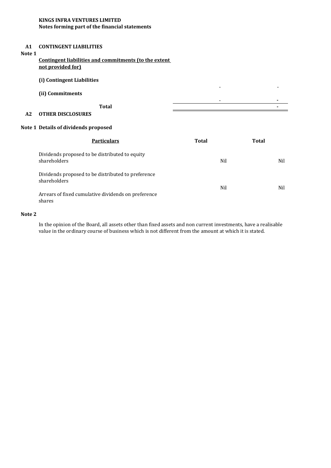#### **KINGS INFRA VENTURES LIMITED Notes forming part of the financial statements**

#### **A1 CONTINGENT LIABILITIES**

## **Note 1**

#### **Contingent liabilities and commitments (to the extent not provided for)**

#### **(i) Contingent Liabilities**

|    | (ii) Commitments         |       | $\overline{\phantom{0}}$ | - |
|----|--------------------------|-------|--------------------------|---|
|    |                          |       | $\overline{\phantom{0}}$ |   |
|    |                          | Total |                          |   |
| A2 | <b>OTHER DISCLOSURES</b> |       |                          |   |

#### **Note 1 Details of dividends proposed**

| <b>Particulars</b>                                                 | Total | Total |
|--------------------------------------------------------------------|-------|-------|
| Dividends proposed to be distributed to equity<br>shareholders     | Nil   | Nil   |
| Dividends proposed to be distributed to preference<br>shareholders | Nil   | Nil   |
| Arrears of fixed cumulative dividends on preference<br>shares      |       |       |

#### **Note 2**

In the opinion of the Board, all assets other than fixed assets and non current investments, have a realisable value in the ordinary course of business which is not different from the amount at which it is stated.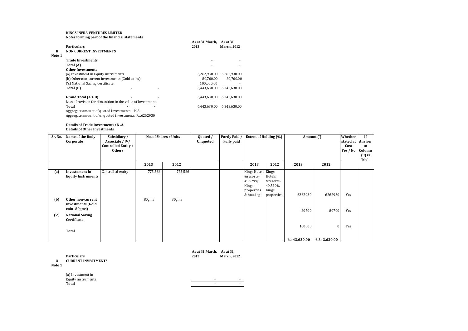#### **KINGS INFRA VENTURES LIMITED Notes forming part of the financial statements**

| К<br>Note 1 | <b>Particulars</b><br><b>NON CURRENT INVESTMENTS</b>       |  | As at 31 March,<br>2013 | As at 31<br><b>March, 2012</b> |
|-------------|------------------------------------------------------------|--|-------------------------|--------------------------------|
|             | <b>Trade Investments</b>                                   |  | ٠                       |                                |
|             | Total (A)                                                  |  |                         |                                |
|             | <b>Other Investments</b>                                   |  |                         |                                |
|             | (a) Investment in Equity instruments                       |  | 6.262.930.00            | 6,262,930.00                   |
|             | (b) Other non-current investments (Gold coins)             |  | 80.700.00               | 80.700.00                      |
|             | ('c) National Saving Certificate                           |  | 100.000.00              |                                |
|             | Total (B)                                                  |  | 6.443.630.00            | 6.343.630.00                   |
|             | Grand Total $(A + B)$                                      |  | 6,443,630.00            | 6,343,630.00                   |
|             | Less: Provision for dimunition in the value of Investments |  |                         |                                |
|             | Total                                                      |  | 6,443,630.00            | 6,343,630.00                   |
|             | Aggregate amount of quoted investments : N.A.              |  |                         |                                |
|             | Aggregate amount of unquoted investments Rs.6262930        |  |                         |                                |

**Details of Trade Investments : N .A. Details of Other Investments**

| Sr. No.           | Name of the Body<br>Corporate                                                                                                  | Subsidiary/<br>Associate / JV/<br><b>Controlled Entity /</b><br><b>Others</b> |                  | No. of Shares / Units | Quoted /<br><b>Unquoted</b> | <b>Partly Paid</b><br><b>Fully paid</b> | <b>Extent of Holding (%)</b>                                                    |                                                       | Amount $( )$     |                  | Whether<br>stated at<br>Cost<br>Yes / No | If<br>Answer<br>to<br>Column<br>$(9)$ is<br>'No' - |
|-------------------|--------------------------------------------------------------------------------------------------------------------------------|-------------------------------------------------------------------------------|------------------|-----------------------|-----------------------------|-----------------------------------------|---------------------------------------------------------------------------------|-------------------------------------------------------|------------------|------------------|------------------------------------------|----------------------------------------------------|
|                   |                                                                                                                                |                                                                               | 2013             | 2012                  |                             |                                         | 2013                                                                            | 2012                                                  | 2013             | 2012             |                                          |                                                    |
| (a)<br>(b)<br>(c) | Investement in<br><b>Equity Instruments</b><br>Other non-current<br>investments (Gold<br>coin-80gms)<br><b>National Saving</b> | Controlled entity                                                             | 775,586<br>80gms | 775,586<br>80gms      |                             |                                         | Kings Hotels Kings<br>&resorts-<br>49.529%<br>Kings<br>properties<br>& housing- | Hotels<br>&resorts-<br>49.529%<br>Kings<br>properties | 6262930<br>80700 | 6262930<br>80700 | Yes<br>Yes                               |                                                    |
|                   | Certificate<br>Total                                                                                                           |                                                                               |                  |                       |                             |                                         |                                                                                 |                                                       | 100000           |                  | Yes                                      |                                                    |
|                   |                                                                                                                                |                                                                               |                  |                       |                             |                                         |                                                                                 |                                                       | 6,443,630.00     | 6,343,630.00     |                                          |                                                    |

| $\bf{0}$<br>Note 1 | <b>Particulars</b><br><b>CURRENT INVESTMENTS</b> | As at 31 March, As at 31<br>2013 | <b>March</b> , 2012      |  |
|--------------------|--------------------------------------------------|----------------------------------|--------------------------|--|
|                    | (a) Investment in                                |                                  |                          |  |
|                    | Equity instruments                               | $\overline{\phantom{0}}$         | $\overline{\phantom{0}}$ |  |
|                    | <b>Total</b>                                     |                                  |                          |  |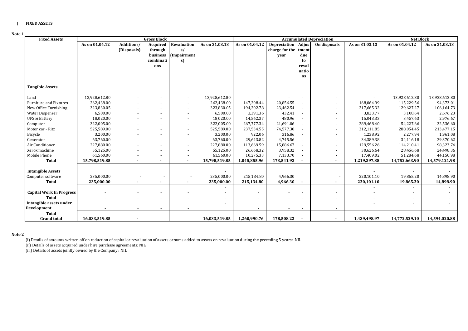#### **J FIXED ASSETS**

#### **Note 1**

| <b>Fixed Assets</b>             |                          |                           | <b>Gross Block</b>                           |                                        |                |                          |                                               |                                    | <b>Accumulated Depreciation</b> |                | <b>Net Block</b>         |                |
|---------------------------------|--------------------------|---------------------------|----------------------------------------------|----------------------------------------|----------------|--------------------------|-----------------------------------------------|------------------------------------|---------------------------------|----------------|--------------------------|----------------|
|                                 | As on 01.04.12           | Additions/<br>(Disposals) | Acquired<br>through<br>business<br>combinati | Revaluation<br>s/<br>(Impairment<br>s) | As on 31.03.13 | As on 01.04.12           | <b>Depreciation</b><br>charge for the<br>year | <b>Adjus</b><br>tment<br>due<br>to | On disposals                    | As on 31.03.13 | As on 01.04.12           | As on 31.03.13 |
|                                 |                          |                           | ons                                          |                                        |                |                          |                                               | reval<br>uatio<br>ns               |                                 |                |                          |                |
| <b>Tangible Assets</b>          |                          |                           |                                              |                                        |                |                          |                                               |                                    |                                 |                |                          |                |
| Land                            | 13,928,612.80            |                           |                                              |                                        | 13,928,612.80  |                          |                                               |                                    |                                 |                | 13,928,612.80            | 13,928,612.80  |
| Furniture and Fixtures          | 262,438.00               |                           |                                              |                                        | 262,438.00     | 147,208.44               | 20,856.55                                     |                                    |                                 | 168,064.99     | 115,229.56               | 94,373.01      |
| New Office Furnishing           | 323,830.05               | $\blacksquare$            |                                              |                                        | 323,830.05     | 194,202.78               | 23,462.54                                     |                                    |                                 | 217,665.32     | 129,627.27               | 106,164.73     |
| <b>Water Dispenser</b>          | 6,500.00                 | $\overline{\phantom{a}}$  |                                              |                                        | 6,500.00       | 3,391.36                 | 432.41                                        |                                    |                                 | 3,823.77       | 3,108.64                 | 2,676.23       |
| <b>UPS &amp; Battery</b>        | 18,020.00                | $\blacksquare$            |                                              |                                        | 18,020.00      | 14,562.37                | 480.96                                        |                                    | ٠                               | 15,043.33      | 3,457.63                 | 2,976.67       |
| Computer                        | 322,005.00               | $\overline{\phantom{a}}$  |                                              |                                        | 322,005.00     | 267,777.34               | 21,691.06                                     |                                    | $\overline{a}$                  | 289,468.40     | 54,227.66                | 32,536.60      |
| Motor car - Ritz                | 525,589.00               | $\blacksquare$            | $\overline{\phantom{a}}$                     |                                        | 525,589.00     | 237,534.55               | 74,577.30                                     |                                    | $\sim$                          | 312,111.85     | 288,054.45               | 213,477.15     |
| Bicycle                         | 3,200.00                 | $\blacksquare$            |                                              |                                        | 3,200.00       | 922.06                   | 316.86                                        |                                    | $\sim$                          | 1,238.92       | 2,277.94                 | 1,961.08       |
| Generator                       | 63,760.00                | $\blacksquare$            |                                              |                                        | 63,760.00      | 29,643.82                | 4,745.56                                      |                                    |                                 | 34,389.38      | 34,116.18                | 29,370.62      |
| Air Conditioner                 | 227,880.00               |                           |                                              |                                        | 227,880.00     | 113,669.59               | 15,886.67                                     |                                    |                                 | 129,556.26     | 114,210.41               | 98,323.74      |
| Xerox machine                   | 55,125.00                |                           |                                              |                                        | 55,125.00      | 26,668.32                | 3,958.32                                      |                                    |                                 | 30,626.64      | 28,456.68                | 24,498.36      |
| Mobile Phone                    | 61,560.00                | $\blacksquare$            | $\blacksquare$                               |                                        | 61,560.00      | 10,275.33                | 7,133.70                                      |                                    |                                 | 17,409.02      | 51,284.68                | 44,150.98      |
| Total                           | 15,798,519.85            | $\sim$                    |                                              | $\overline{\phantom{a}}$               | 15,798,519.85  | 1,045,855.96             | 173,541.93                                    |                                    |                                 | 1,219,397.88   | 14,752,663.90            | 14,579,121.98  |
| <b>Intangible Assets</b>        |                          |                           |                                              |                                        |                |                          |                                               |                                    |                                 |                |                          |                |
| Computer software               | 235,000.00               |                           |                                              |                                        | 235,000.00     | 215,134.80               | 4.966.30                                      |                                    |                                 | 220,101.10     | 19,865.20                | 14,898.90      |
| Total                           | 235,000.00               |                           |                                              |                                        | 235,000.00     | 215,134.80               | 4,966.30                                      | $\overline{\phantom{a}}$           |                                 | 220,101.10     | 19,865.20                | 14,898.90      |
|                                 |                          |                           |                                              |                                        |                |                          |                                               |                                    |                                 |                |                          |                |
| <b>Capital Work In Progress</b> |                          | $\blacksquare$            | $\sim$                                       |                                        |                |                          |                                               | $\overline{\phantom{a}}$           |                                 |                |                          |                |
| Total                           |                          | $\overline{a}$            | $\sim$                                       |                                        |                |                          |                                               |                                    | $\sim$                          |                |                          |                |
| Intangible assets under         |                          |                           |                                              |                                        |                |                          |                                               |                                    |                                 |                | $\blacksquare$           |                |
| Development                     | $\overline{\phantom{a}}$ | $\overline{\phantom{a}}$  | $\sim$                                       | $\overline{\phantom{a}}$               |                | $\overline{\phantom{a}}$ |                                               | $\overline{\phantom{a}}$           | $\sim$                          |                |                          |                |
| <b>Total</b>                    |                          | $\blacksquare$            | $\sim$                                       |                                        |                |                          |                                               | $\sim$                             | $\sim$                          |                | $\overline{\phantom{a}}$ |                |
| <b>Grand</b> total              | 16,033,519.85            | $\sim$                    |                                              |                                        | 16,033,519.85  | 1,260,990.76             | 178,508.22                                    |                                    | $\sim$                          | 1,439,498.97   | 14,772,529.10            | 14,594,020.88  |

#### **Note 2**

(i) Details of amounts written off on reduction of capital or revaluation of assets or sums added to assets on revaluation during the preceding 5 years: NIL

(ii) Details of assets acquired under hire purchase agreements: NIL

(iii) Details of assets jointly owned by the Company: NIL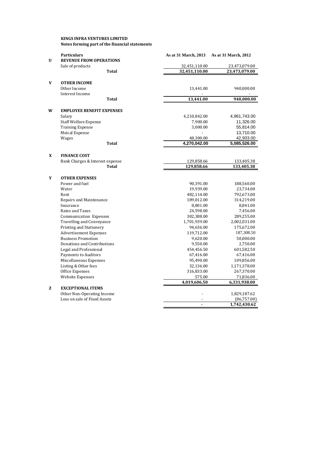|   | Notes forming part of the financial statements          |                           |                           |
|---|---------------------------------------------------------|---------------------------|---------------------------|
| U | <b>Particulars</b><br><b>REVENUE FROM OPERATIONS</b>    | As at 31 March, 2013      | As at 31 March, 2012      |
|   | Sale of products                                        | 32,451,110.00             | 23,473,079.00             |
|   | Total                                                   | 32,451,110.00             | 23,473,079.00             |
| V | <b>OTHER INCOME</b>                                     |                           |                           |
|   | Other Income                                            | 13,441.00                 | 940,000.00                |
|   | Interest Income<br><b>Total</b>                         | 13,441.00                 | 940,000.00                |
|   |                                                         |                           |                           |
| W | <b>EMPLOYEE BENEFIT EXPENSES</b>                        |                           |                           |
|   | Salary                                                  | 4,210,842.00              | 4,961,743.00              |
|   | <b>Staff Welfare Expense</b><br><b>Training Expense</b> | 7,900.00<br>3,000.00      | 11,326.00<br>55,814.00    |
|   |                                                         |                           |                           |
|   | <b>Meical Expense</b>                                   |                           | 13,710.00                 |
|   | Wages<br>Total                                          | 48,300.00<br>4,270,042.00 | 42,933.00<br>5,085,526.00 |
|   |                                                         |                           |                           |
| X | <b>FINANCE COST</b>                                     |                           |                           |
|   | Bank Charges & Interest expense                         | 129,858.66                | 133,405.38                |
|   | Total                                                   | 129,858.66                | 133,405.38                |
| Y | <b>OTHER EXPENSES</b>                                   |                           |                           |
|   | Power and fuel                                          | 90,391.00                 | 188,560.00                |
|   | Water                                                   | 19,939.00                 | 23,734.00                 |
|   | Rent                                                    | 482,114.00                | 792,673.00                |
|   | Repairs and Maintenance                                 | 189,012.00                | 314,219.00                |
|   | Insurance                                               | 8,801.00                  | 8,841.00                  |
|   | Rates and Taxes                                         | 24,598.00                 | 7,456.00                  |
|   | Communication Expenses                                  | 302,388.00                | 289,255.00                |
|   | <b>Travelling and Conveyance</b>                        | 1,701,939.00              | 2,002,031.00              |
|   | Printing and Stationery                                 | 94,636.00                 | 175,672.00                |
|   | <b>Advertisement Expenses</b>                           | 119,712.00                | 187,308.50                |
|   | <b>Business Promotion</b>                               | 9,620.00                  | 50,000.00                 |
|   | Donations and Contributions                             | 9,550.00                  | 2,750.00                  |
|   | Legal and Professional                                  | 454,456.50                | 601,582.50                |
|   | <b>Payments to Auditors</b>                             | 67,416.00                 | 67,416.00                 |
|   | Miscellaneous Expenses                                  | 95,490.00                 | 109,856.00                |
|   | Listing & Other fees                                    | 32,136.00                 | 1,171,378.00              |
|   | Office Expenses                                         | 316,833.00                | 267,370.00                |
|   | Website Expenses                                        | 575.00                    | 71,836.00                 |
|   |                                                         | 4,019,606.50              | 6,331,938.00              |
| z | <b>EXCEPTIONAL ITEMS</b>                                |                           |                           |
|   | Other Non-Operating Income                              |                           | 1,829,187.62              |
|   | Loss on sale of Fixed Assets                            |                           | (86,757.00)               |
|   |                                                         | $\blacksquare$            | 1,742,430.62              |

**KINGS INFRA VENTURES LIMITED**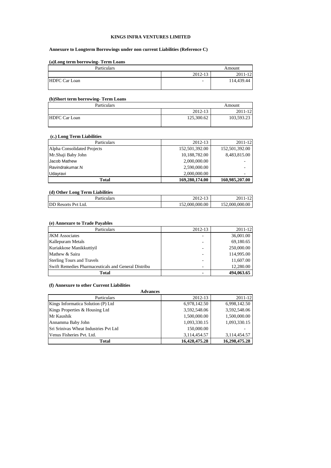#### **KINGS INFRA VENTURES LIMITED**

#### **Annexure to Longterm Borrowings under non current Liabilities (Reference C)**

#### **(a)Long term borrowing- Term Loans**

| Particulars          |         | Amount     |
|----------------------|---------|------------|
|                      | 2012-13 | 2011-12    |
| <b>HDFC Car Loan</b> | ٠       | 114,439.44 |

#### **(b)Short term borrowing- Term Loans**

| Particulars          |            | Amount     |
|----------------------|------------|------------|
|                      | 2012-13    | 2011-12    |
| <b>HDFC Car Loan</b> | 125,300.62 | 103,593.23 |

## **(c.) Long Term Liabilities**

| Particulars                 | 2012-13        | 2011-12        |
|-----------------------------|----------------|----------------|
| Alpha Consolidated Projects | 152,501,392.00 | 152,501,392.00 |
| Mr.Shaji Baby John          | 10,188,782.00  | 8,483,815.00   |
| Jacob Mathew                | 2,000,000.00   |                |
| Ravindrakumar.N             | 2,590,000.00   |                |
| Udayravi                    | 2,000,000.00   | ۰              |
| <b>Total</b>                | 169,280,174.00 | 160,985,207.00 |

#### **(d) Other Long Term Liabilities**

| Particulars            | 2012-13        | ኅ ሰ1<br>$1^{\wedge}$ |
|------------------------|----------------|----------------------|
| DD<br>Resorts Pyt Ltd. | 152,000,000.00 | 152,000,000.00       |

#### **(e) Annexure to Trade Payables**

| Particulars                                         | 2012-13                  | 2011-12    |
|-----------------------------------------------------|--------------------------|------------|
| <b>JKM</b> Associates                               |                          | 36,001.00  |
| Kallepuram Metals                                   | ۰                        | 69,180.65  |
| Kuriakkose Manikkuttivil                            | $\overline{\phantom{a}}$ | 250,000.00 |
| Mathew & Saira                                      | ۰                        | 114,995.00 |
| <b>Sterling Tours and Travels</b>                   | $\overline{\phantom{0}}$ | 11,607.00  |
| Swift Remedies Pharmaceuticals and General Distribu | $\overline{\phantom{a}}$ | 12,280.00  |
| Total                                               |                          | 494,063.65 |

#### **(f) Annexure to other Current Liabilities**

| un industria voi vana van vin Limonno<br><b>Advances</b> |               |               |
|----------------------------------------------------------|---------------|---------------|
|                                                          |               |               |
| Kings Informatica Solution (P) Ltd                       | 6,978,142.50  | 6,998,142.50  |
| Kings Properties & Housing Ltd                           | 3,592,548.06  | 3,592,548.06  |
| Mr Kaushik                                               | 1,500,000.00  | 1,500,000.00  |
| Annamma Baby John                                        | 1,093,330.15  | 1,093,330.15  |
| Sri Srinivas Wheat Industries Pvt Ltd                    | 150,000.00    |               |
| Venus Fisheries Pvt. Ltd.                                | 3,114,454.57  | 3,114,454.57  |
| <b>Total</b>                                             | 16,428,475.28 | 16,298,475.28 |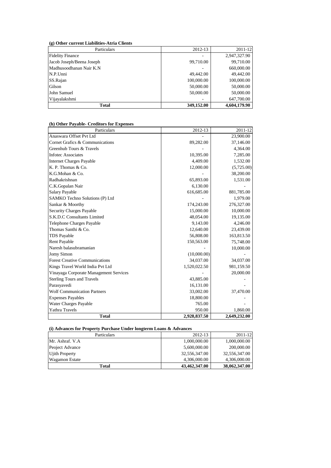#### **(g) Other current Liabilities-Atria Clients**

| Particulars               | 2012-13    | 2011-12      |
|---------------------------|------------|--------------|
| <b>Fidelity Finance</b>   |            | 2,947,327.90 |
| Jacob Joseph/Beena Joseph | 99,710.00  | 99,710.00    |
| Madhusoodhanan Nair K.N   |            | 660,000.00   |
| N.P.Unni                  | 49,442.00  | 49,442.00    |
| SS.Rajan                  | 100,000.00 | 100,000.00   |
| Gilson                    | 50,000.00  | 50,000.00    |
| John Samuel               | 50,000.00  | 50,000.00    |
| Vijayalakshmi             |            | 647,700.00   |
| <b>Total</b>              | 349,152.00 | 4,604,179.90 |

| Particulars                            | 2012-13      | 2011-12      |
|----------------------------------------|--------------|--------------|
| Anaswara Offset Pvt Ltd                |              | 23,900.00    |
| Cornet Grafics & Communications        | 89,282.00    | 37,146.00    |
| Greenhub Tours & Travels               |              | 4,364.00     |
| Infotec Associates                     | 10,395.00    | 7,285.00     |
| <b>Internet Charges Payable</b>        | 4,409.00     | 1,532.00     |
| K. P. Thomas & Co.                     | 12,000.00    | (5,725.00)   |
| K.G.Mohan & Co.                        |              | 38,200.00    |
| Radhakrishnan                          | 65,893.00    | 1,531.00     |
| C.K.Gopalan Nair                       | 6,130.00     |              |
| <b>Salary Payable</b>                  | 616,685.00   | 881,785.00   |
| SAMKO Techno Solutions (P) Ltd         |              | 1,979.00     |
| Sankar & Moorthy                       | 174,243.00   | 276,327.00   |
| Security Charges Payable               | 15,000.00    | 10,000.00    |
| S.K.D.C Consultants Limited            | 48,054.00    | 19,135.00    |
| Telephone Charges Payable              | 9,143.00     | 4,246.00     |
| Thomas Santhi & Co.                    | 12,640.00    | 23,439.00    |
| <b>TDS</b> Payable                     | 56,808.00    | 163,813.50   |
| <b>Rent Payable</b>                    | 150,563.00   | 75,748.00    |
| Naresh balasubramanian                 |              | 10,000.00    |
| Jomy Simon                             | (10,000.00)  |              |
| <b>Forest Creative Communications</b>  | 34,037.00    | 34,037.00    |
| Kings Travel World India Pvt Ltd       | 1,520,022.50 | 981,159.50   |
| Vinayaga Corporate Management Services |              | 20,000.00    |
| <b>Sterling Tours and Travels</b>      | 43,885.00    |              |
| Parasyavedi                            | 16,131.00    |              |
| <b>Wolf Communication Partners</b>     | 33,002.00    | 37,470.00    |
| <b>Expenses Payables</b>               | 18,800.00    |              |
| <b>Water Charges Payable</b>           | 765.00       |              |
| Yathra Travels                         | 950.00       | 1,860.00     |
| <b>Total</b>                           | 2,928,837.50 | 2,649,232.00 |

## **(h) Other Payable- Creditors for Expenses**

**(i) Advances for Property Purchase Under longterm Loans & Advances**

| Particulars           | 2012-13       | 2011-12       |
|-----------------------|---------------|---------------|
| Mr. Ashraf. V.A       | 1,000,000.00  | 1,000,000.00  |
| Peoject Advance       | 5,600,000.00  | 200,000.00    |
| Ujith Property        | 32,556,347.00 | 32,556,347.00 |
| <b>Wagamon Estate</b> | 4.306.000.00  | 4,306,000.00  |
| Total                 | 43,462,347.00 | 38,062,347.00 |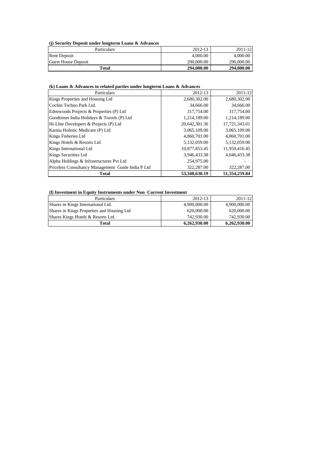**(j) Security Deposit under longterm Loans & Advances**

| Particulars         | 2012-13    | 2011-12    |
|---------------------|------------|------------|
| <b>Rent Deposit</b> | 4,000.00   | 4,000.00   |
| Guest House Deposit | 290,000.00 | 290,000.00 |
| Total               | 294,000.00 | 294,000.00 |

## **(k) Loans & Advances to related parties under longterm Loans & Advances**

| Particulars                                        | 2012-13       | $2011 - 12$   |
|----------------------------------------------------|---------------|---------------|
| Kings Properties and Housing Ltd                   | 2,680,302.00  | 2,680,302.00  |
| Cochin Techno Park Ltd.                            | 34,666.00     | 34,666.00     |
| Edenwoods Projects & Properties (P) Ltd            | 317,754.00    | 317,754.00    |
| Goodtimes India Holidays & Travels (P) Ltd         | 1,214,189.00  | 1,214,189.00  |
| Hi-Line Developers & Projects (P) Ltd              | 20,642,301.36 | 17,721,343.01 |
| Karma Holistic Medicare (P) Ltd                    | 3,065,109.00  | 3,065,109.00  |
| Kings Fisheries Ltd                                | 4,860,701.00  | 4,860,701.00  |
| Kings Hotels & Resorts Ltd                         | 5,132,059.00  | 5,132,059.00  |
| Kings International Ltd                            | 10,877,853.45 | 11,959,416.45 |
| Kings Securities Ltd                               | 3,946,433.38  | 4,046,433.38  |
| Alpha Holdings & Infrastructures Pvt Ltd           | 254,975.00    |               |
| Priceless Consultancy Management Guide India P Ltd | 322,287.00    | 322,287.00    |
| <b>Total</b>                                       | 53,348,630.19 | 51.354.259.84 |

#### **(l) Investment in Equity Instruments under Non Current Investment**

| <b>Particulars</b>                         | 2012-13      | $2011 - 12$  |
|--------------------------------------------|--------------|--------------|
| Shares in Kings International Ltd.         | 4,900,000.00 | 4,900,000.00 |
| Shares in Kings Properties and Housing Ltd | 620,000,00   | 620,000.00   |
| Shares Kings Hotels & Resorts Ltd.         | 742,930.00   | 742,930.00   |
| Total                                      | 6,262,930.00 | 6,262,930.00 |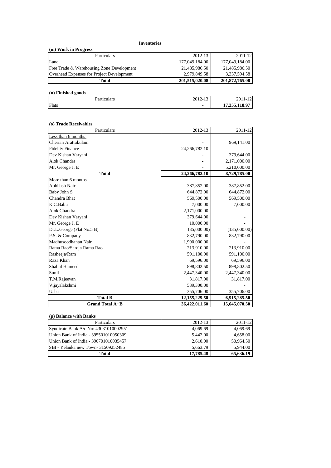#### **Inventories**

| (m) Work in Progress                      |                |                |
|-------------------------------------------|----------------|----------------|
| <b>Particulars</b>                        | 2012-13        | 2011-12        |
| Land                                      | 177,049,184.00 | 177,049,184.00 |
| Free Trade & Warehousing Zone Development | 21,485,986.50  | 21,485,986.50  |
| Overhead Expenses for Project Development | 2.979.849.58   | 3.337.594.58   |
| Total                                     | 201,515,020.08 | 201,872,765.08 |

#### **(n) Finished goods**

| .     | $\sim$<br>$\Delta$ <sup><math>\Gamma</math></sup><br>$\sim$ $\sim$<br>$\triangle$ U.L.<br>14 I.J | $\sim$ $\sim$<br>$\overline{\phantom{a}}$<br>$\omega$<br>$\overline{1}$ |
|-------|--------------------------------------------------------------------------------------------------|-------------------------------------------------------------------------|
| Flats | $\sim$                                                                                           | 17 255 118 07<br>. .                                                    |

#### **(o) Trade Receivables**

| Particulars               | 2012-13                     | 2011-12       |  |
|---------------------------|-----------------------------|---------------|--|
| Less than 6 months        |                             |               |  |
| Cherian Arattukulam       |                             | 969,141.00    |  |
| <b>Fidelity Finance</b>   | 24, 266, 782. 10            |               |  |
| Dev Kishan Varyani        |                             | 379,644.00    |  |
| Alok Chandra              |                             | 2,171,000.00  |  |
| Mr. George J. E           |                             | 5,210,000.00  |  |
| <b>Total</b>              | 24,266,782.10               | 8,729,785.00  |  |
| More than 6 months        |                             |               |  |
| Abhilash Nair             | 387,852.00                  | 387,852.00    |  |
| Baby John S               | 644,872.00                  | 644,872.00    |  |
| Chandra Bhat              | 569,500.00                  | 569,500.00    |  |
| K.C.Babu                  | 7,000.00                    | 7,000.00      |  |
| Alok Chandra              | 2,171,000.00                |               |  |
| Dev Kishan Varyani        | 379,644.00                  |               |  |
| Mr. George J. E           | 10,000.00                   |               |  |
| Dr.L.George (Flat No.5 B) | (35,000.00)<br>(135,000.00) |               |  |
| P.S. & Company            | 832,790.00                  | 832,790.00    |  |
| Madhusoodhanan Nair       | 1,990,000.00                |               |  |
| Rama Rao/Saroja Rama Rao  | 213,910.00                  | 213,910.00    |  |
| Rasheeja/Ram              | 591,100.00                  | 591,100.00    |  |
| Raza Khan                 | 69,596.00                   | 69,596.00     |  |
| Shahul Hameed             | 898,802.50                  | 898,802.50    |  |
| Sunil                     | 2,447,340.00                | 2,447,340.00  |  |
| T.M.Rajeevan              | 31,817.00                   | 31,817.00     |  |
| Vijayalakshmi             | 589,300.00                  |               |  |
| Usha                      | 355,706.00                  | 355,706.00    |  |
| <b>Total B</b>            | 12, 155, 229.50             | 6,915,285.50  |  |
| <b>Grand Total A+B</b>    | 36,422,011.60               | 15,645,070.50 |  |

#### **(p) Balance with Banks**

| Particulars                           | 2012-13   | $2011 - 12$ |
|---------------------------------------|-----------|-------------|
| Syndicate Bank A/c No: 43031010002951 | 4,069.69  | 4,069.69    |
| Union Bank of India - 395501010050309 | 5.442.00  | 4,658.00    |
| Union Bank of India - 396701010035457 | 2.610.00  | 50,964.50   |
| SBI - Yelanka new Town-31509252485    | 5.663.79  | 5.944.00    |
| Total                                 | 17,785.48 | 65,636.19   |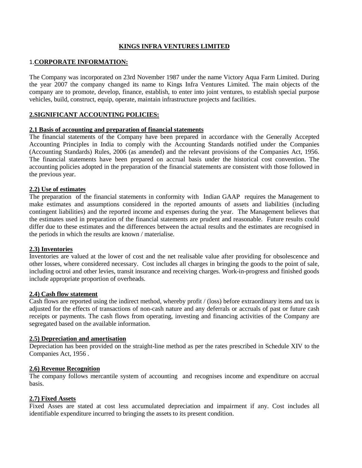### **KINGS INFRA VENTURES LIMITED**

#### 1.**CORPORATE INFORMATION:**

The Company was incorporated on 23rd November 1987 under the name Victory Aqua Farm Limited. During the year 2007 the company changed its name to Kings Infra Ventures Limited. The main objects of the company are to promote, develop, finance, establish, to enter into joint ventures, to establish special purpose vehicles, build, construct, equip, operate, maintain infrastructure projects and facilities.

#### **2.SIGNIFICANT ACCOUNTING POLICIES:**

#### **2.1 Basis of accounting and preparation of financial statements**

The financial statements of the Company have been prepared in accordance with the Generally Accepted Accounting Principles in India to comply with the Accounting Standards notified under the Companies (Accounting Standards) Rules, 2006 (as amended) and the relevant provisions of the Companies Act, 1956. The financial statements have been prepared on accrual basis under the historical cost convention. The accounting policies adopted in the preparation of the financial statements are consistent with those followed in the previous year.

#### **2.2) Use of estimates**

The preparation of the financial statements in conformity with Indian GAAP requires the Management to make estimates and assumptions considered in the reported amounts of assets and liabilities (including contingent liabilities) and the reported income and expenses during the year. The Management believes that the estimates used in preparation of the financial statements are prudent and reasonable. Future results could differ due to these estimates and the differences between the actual results and the estimates are recognised in the periods in which the results are known / materialise.

#### **2.3) Inventories**

Inventories are valued at the lower of cost and the net realisable value after providing for obsolescence and other losses, where considered necessary. Cost includes all charges in bringing the goods to the point of sale, including octroi and other levies, transit insurance and receiving charges. Work-in-progress and finished goods include appropriate proportion of overheads.

#### **2.4) Cash flow statement**

Cash flows are reported using the indirect method, whereby profit / (loss) before extraordinary items and tax is adjusted for the effects of transactions of non-cash nature and any deferrals or accruals of past or future cash receipts or payments. The cash flows from operating, investing and financing activities of the Company are segregated based on the available information.

#### **2.5) Depreciation and amortisation**

Depreciation has been provided on the straight-line method as per the rates prescribed in Schedule XIV to the Companies Act, 1956 .

#### **2.6) Revenue Recognition**

The company follows mercantile system of accounting and recognises income and expenditure on accrual basis.

#### **2.7) Fixed Assets**

Fixed Asses are stated at cost less accumulated depreciation and impairment if any. Cost includes all identifiable expenditure incurred to bringing the assets to its present condition.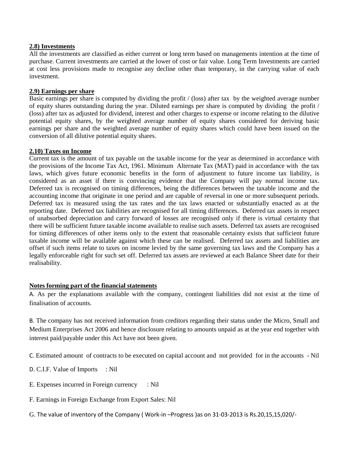#### **2.8) Investments**

All the investments are classified as either current or long term based on managements intention at the time of purchase. Current investments are carried at the lower of cost or fair value. Long Term Investments are carried at cost less provisions made to recognise any decline other than temporary, in the carrying value of each investment.

#### **2.9) Earnings per share**

Basic earnings per share is computed by dividing the profit / (loss) after tax by the weighted average number of equity shares outstanding during the year. Diluted earnings per share is computed by dividing the profit / (loss) after tax as adjusted for dividend, interest and other charges to expense or income relating to the dilutive potential equity shares, by the weighted average number of equity shares considered for deriving basic earnings per share and the weighted average number of equity shares which could have been issued on the conversion of all dilutive potential equity shares.

#### **2.10) Taxes on Income**

Current tax is the amount of tax payable on the taxable income for the year as determined in accordance with the provisions of the Income Tax Act, 1961. Minimum Alternate Tax (MAT) paid in accordance with the tax laws, which gives future economic benefits in the form of adjustment to future income tax liability, is considered as an asset if there is convincing evidence that the Company will pay normal income tax. Deferred tax is recognised on timing differences, being the differences between the taxable income and the accounting income that originate in one period and are capable of reversal in one or more subsequent periods. Deferred tax is measured using the tax rates and the tax laws enacted or substantially enacted as at the reporting date. Deferred tax liabilities are recognised for all timing differences. Deferred tax assets in respect of unabsorbed depreciation and carry forward of losses are recognised only if there is virtual certainty that there will be sufficient future taxable income available to realise such assets. Deferred tax assets are recognised for timing differences of other items only to the extent that reasonable certainty exists that sufficient future taxable income will be available against which these can be realised. Deferred tax assets and liabilities are offset if such items relate to taxes on income levied by the same governing tax laws and the Company has a legally enforceable right for such set off. Deferred tax assets are reviewed at each Balance Sheet date for their realisability.

### **Notes forming part of the financial statements**

A. As per the explanations available with the company, contingent liabilities did not exist at the time of finalisation of accounts.

B. The company has not received information from creditors regarding their status under the Micro, Small and Medium Enterprises Act 2006 and hence disclosure relating to amounts unpaid as at the year end together with interest paid/payable under this Act have not been given.

C. Estimated amount of contracts to be executed on capital account and not provided for in the accounts - Nil

D. C.I.F. Value of Imports : Nil

- E. Expenses incurred in Foreign currency : Nil
- F. Earnings in Foreign Exchange from Export Sales: Nil
- G. The value of inventory of the Company ( Work-in –Progress )as on 31-03-2013 is Rs.20,15,15,020/-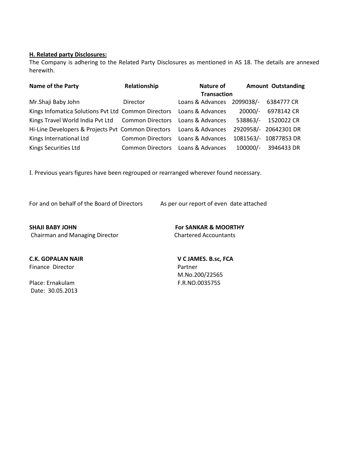#### **H. Related party Disclosures:**

The Company is adhering to the Related Party Disclosures as mentioned in AS 18. The details are annexed herewith.

| Name of the Party                                   | Relationship            | Nature of          |            | <b>Amount Outstanding</b> |
|-----------------------------------------------------|-------------------------|--------------------|------------|---------------------------|
|                                                     |                         | <b>Transaction</b> |            |                           |
| Mr.Shaji Baby John                                  | Director                | Loans & Advances   | 2099038/-  | 6384777 CR                |
| Kings Infomatica Solutions Pvt Ltd Common Directors |                         | Loans & Advances   | $20000/-$  | 6978142 CR                |
| Kings Travel World India Pvt Ltd Common Directors   |                         | Loans & Advances   | 538863/-   | 1520022 CR                |
| Hi-Line Developers & Projects Pvt Common Directors  |                         | Loans & Advances   |            | 2920958/- 20642301 DR     |
| Kings International Ltd                             | <b>Common Directors</b> | Loans & Advances   |            | 1081563/- 10877853 DR     |
| Kings Securities Ltd                                | <b>Common Directors</b> | Loans & Advances   | $100000/-$ | 3946433 DR                |

I. Previous years figures have been regrouped or rearranged wherever found necessary.

For and on behalf of the Board of Directors As per our report of even date attached

**SHAJI BABY JOHN For SANKAR & MOORTHY** Chairman and Managing Director Chartered Accountants

Finance Director **Partner** 

Place: Ernakulam F.R.NO.003575S Date: 30.05.2013

**C.K. GOPALAN NAIR V C JAMES. B.sc, FCA** M.No.200/22565